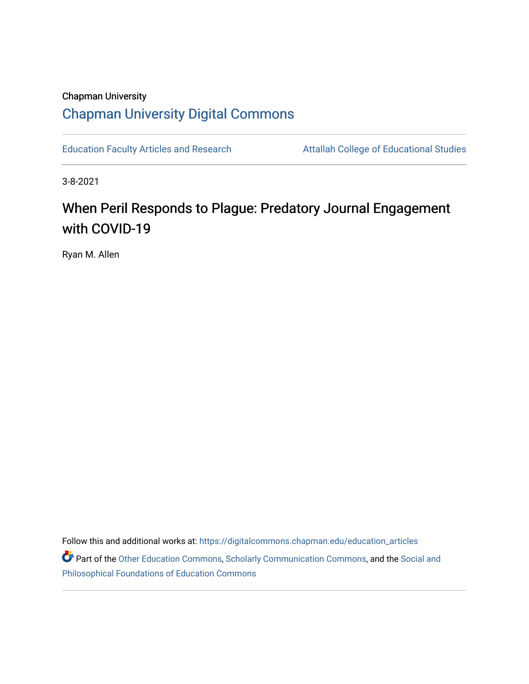# Chapman University [Chapman University Digital Commons](https://digitalcommons.chapman.edu/)

[Education Faculty Articles and Research](https://digitalcommons.chapman.edu/education_articles) **Attallah College of Educational Studies** 

3-8-2021

# When Peril Responds to Plague: Predatory Journal Engagement with COVID-19

Ryan M. Allen

Follow this and additional works at: [https://digitalcommons.chapman.edu/education\\_articles](https://digitalcommons.chapman.edu/education_articles?utm_source=digitalcommons.chapman.edu%2Feducation_articles%2F316&utm_medium=PDF&utm_campaign=PDFCoverPages) Part of the [Other Education Commons,](http://network.bepress.com/hgg/discipline/811?utm_source=digitalcommons.chapman.edu%2Feducation_articles%2F316&utm_medium=PDF&utm_campaign=PDFCoverPages) [Scholarly Communication Commons](http://network.bepress.com/hgg/discipline/1272?utm_source=digitalcommons.chapman.edu%2Feducation_articles%2F316&utm_medium=PDF&utm_campaign=PDFCoverPages), and the [Social and](http://network.bepress.com/hgg/discipline/799?utm_source=digitalcommons.chapman.edu%2Feducation_articles%2F316&utm_medium=PDF&utm_campaign=PDFCoverPages) [Philosophical Foundations of Education Commons](http://network.bepress.com/hgg/discipline/799?utm_source=digitalcommons.chapman.edu%2Feducation_articles%2F316&utm_medium=PDF&utm_campaign=PDFCoverPages)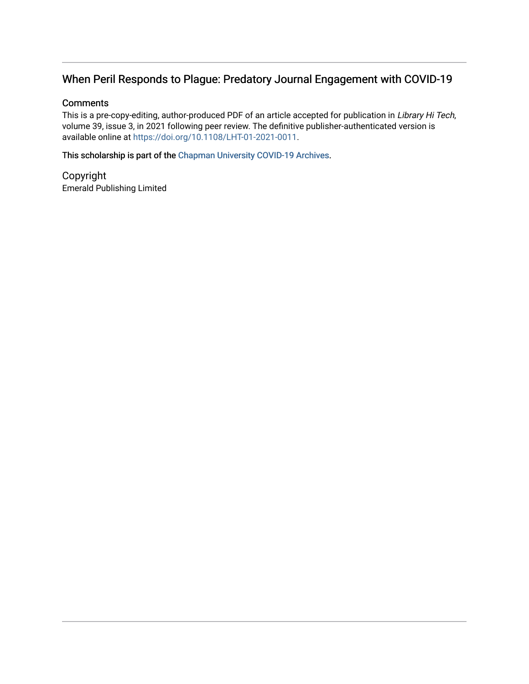# When Peril Responds to Plague: Predatory Journal Engagement with COVID-19

# **Comments**

This is a pre-copy-editing, author-produced PDF of an article accepted for publication in Library Hi Tech, volume 39, issue 3, in 2021 following peer review. The definitive publisher-authenticated version is available online at [https://doi.org/10.1108/LHT-01-2021-0011.](https://doi.org/10.1108/LHT-01-2021-0011)

This scholarship is part of the [Chapman University COVID-19 Archives](https://digitalcommons.chapman.edu/covid-19_archives/).

Copyright Emerald Publishing Limited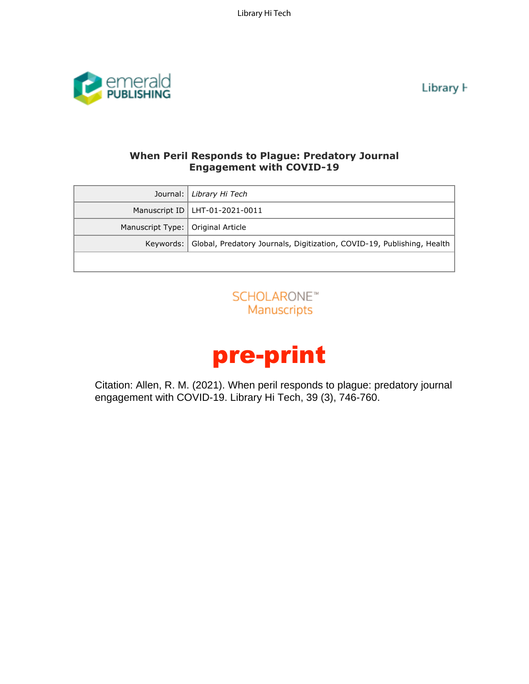Library Hi Tech



Library **H** 

# **When Peril Responds to Plague: Predatory Journal Engagement with COVID-19**

| Journal:                                                                                                                                       | Library Hi Tech                                                        |  |  |  |
|------------------------------------------------------------------------------------------------------------------------------------------------|------------------------------------------------------------------------|--|--|--|
| Manuscript ID                                                                                                                                  | LHT-01-2021-0011                                                       |  |  |  |
| Manuscript Type:                                                                                                                               | Original Article                                                       |  |  |  |
| Keywords:                                                                                                                                      | Global, Predatory Journals, Digitization, COVID-19, Publishing, Health |  |  |  |
|                                                                                                                                                |                                                                        |  |  |  |
| SCHOLARONE™<br>Manuscripts                                                                                                                     |                                                                        |  |  |  |
| pre-print                                                                                                                                      |                                                                        |  |  |  |
| Citation: Allen, R. M. (2021). When peril responds to plague: predatory journal<br>engagement with COVID-19. Library Hi Tech, 39 (3), 746-760. |                                                                        |  |  |  |
|                                                                                                                                                |                                                                        |  |  |  |

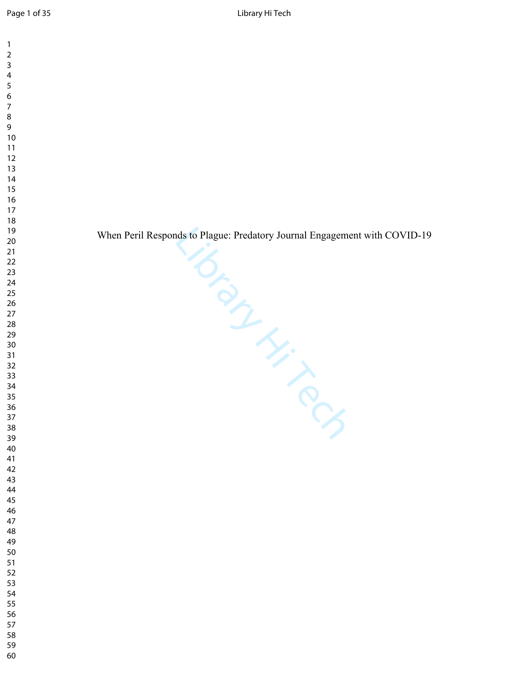When Peril Responds to Plague: Predatory Journal Engagement with COVID-19

- 
- 
- 
- 
- 
-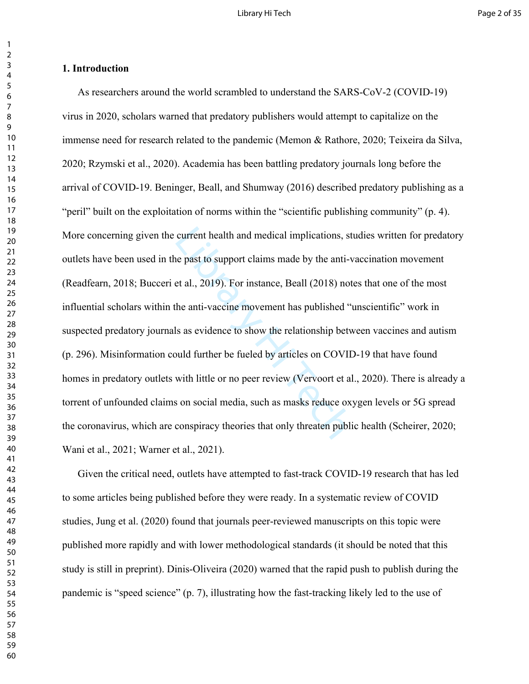# **1. Introduction**

current health and medical implications, stunction and the past to support claims made by the anti-vect al., 2019). For instance, Beall (2018) not the anti-vaccine movement has published "the anti-vaccine movement has publ As researchers around the world scrambled to understand the SARS-CoV-2 (COVID-19) virus in 2020, scholars warned that predatory publishers would attempt to capitalize on the immense need for research related to the pandemic (Memon & Rathore, 2020; Teixeira da Silva, 2020; Rzymski et al., 2020). Academia has been battling predatory journals long before the arrival of COVID-19. Beninger, Beall, and Shumway (2016) described predatory publishing as a "peril" built on the exploitation of norms within the "scientific publishing community" (p. 4). More concerning given the current health and medical implications, studies written for predatory outlets have been used in the past to support claims made by the anti-vaccination movement (Readfearn, 2018; Bucceri et al., 2019). For instance, Beall (2018) notes that one of the most influential scholars within the anti-vaccine movement has published "unscientific" work in suspected predatory journals as evidence to show the relationship between vaccines and autism (p. 296). Misinformation could further be fueled by articles on COVID-19 that have found homes in predatory outlets with little or no peer review (Vervoort et al., 2020). There is already a torrent of unfounded claims on social media, such as masks reduce oxygen levels or 5G spread the coronavirus, which are conspiracy theories that only threaten public health (Scheirer, 2020; Wani et al., 2021; Warner et al., 2021).

Given the critical need, outlets have attempted to fast-track COVID-19 research that has led to some articles being published before they were ready. In a systematic review of COVID studies, Jung et al. (2020) found that journals peer-reviewed manuscripts on this topic were published more rapidly and with lower methodological standards (it should be noted that this study is still in preprint). Dinis-Oliveira (2020) warned that the rapid push to publish during the pandemic is "speed science" (p. 7), illustrating how the fast-tracking likely led to the use of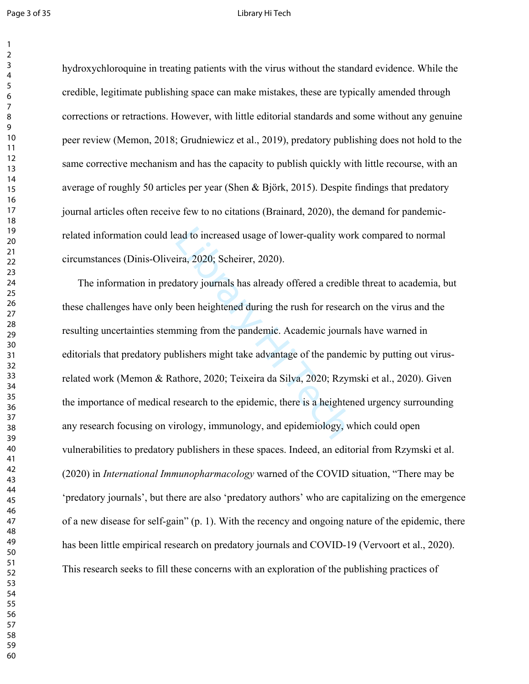# Page 3 of 35 Library Hi Tech

hydroxychloroquine in treating patients with the virus without the standard evidence. While the credible, legitimate publishing space can make mistakes, these are typically amended through corrections or retractions. However, with little editorial standards and some without any genuine peer review (Memon, 2018; Grudniewicz et al., 2019), predatory publishing does not hold to the same corrective mechanism and has the capacity to publish quickly with little recourse, with an average of roughly 50 articles per year (Shen & Björk, 2015). Despite findings that predatory journal articles often receive few to no citations (Brainard, 2020), the demand for pandemicrelated information could lead to increased usage of lower-quality work compared to normal circumstances (Dinis-Oliveira, 2020; Scheirer, 2020).

ead to increased usage of lower-quality wor<br>ira, 2020; Scheirer, 2020).<br>latory journals has already offered a credibl<br>been heightened during the rush for researc<br>ming from the pandemic. Academic journa<br>blishers might take The information in predatory journals has already offered a credible threat to academia, but these challenges have only been heightened during the rush for research on the virus and the resulting uncertainties stemming from the pandemic. Academic journals have warned in editorials that predatory publishers might take advantage of the pandemic by putting out virusrelated work (Memon & Rathore, 2020; Teixeira da Silva, 2020; Rzymski et al., 2020). Given the importance of medical research to the epidemic, there is a heightened urgency surrounding any research focusing on virology, immunology, and epidemiology, which could open vulnerabilities to predatory publishers in these spaces. Indeed, an editorial from Rzymski et al. (2020) in *International Immunopharmacology* warned of the COVID situation, "There may be 'predatory journals', but there are also 'predatory authors' who are capitalizing on the emergence of a new disease for self-gain" (p. 1). With the recency and ongoing nature of the epidemic, there has been little empirical research on predatory journals and COVID-19 (Vervoort et al., 2020). This research seeks to fill these concerns with an exploration of the publishing practices of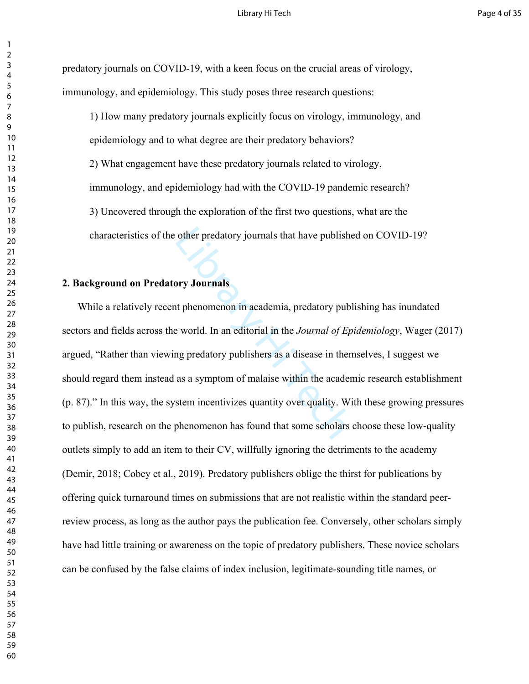predatory journals on COVID-19, with a keen focus on the crucial areas of virology, immunology, and epidemiology. This study poses three research questions:

1) How many predatory journals explicitly focus on virology, immunology, and epidemiology and to what degree are their predatory behaviors? 2) What engagement have these predatory journals related to virology, immunology, and epidemiology had with the COVID-19 pandemic research? 3) Uncovered through the exploration of the first two questions, what are the characteristics of the other predatory journals that have published on COVID-19?

# **2. Background on Predatory Journals**

other predatory journals that have publishe<br>
ory Journals<br>
are phenomenon in academia, predatory public<br>
correct world. In an editorial in the *Journal of Ep.*<br>
are predatory publishers as a disease in them<br>
as a symptom o While a relatively recent phenomenon in academia, predatory publishing has inundated sectors and fields across the world. In an editorial in the *Journal of Epidemiology*, Wager (2017) argued, "Rather than viewing predatory publishers as a disease in themselves, I suggest we should regard them instead as a symptom of malaise within the academic research establishment (p. 87)." In this way, the system incentivizes quantity over quality. With these growing pressures to publish, research on the phenomenon has found that some scholars choose these low-quality outlets simply to add an item to their CV, willfully ignoring the detriments to the academy (Demir, 2018; Cobey et al., 2019). Predatory publishers oblige the thirst for publications by offering quick turnaround times on submissions that are not realistic within the standard peerreview process, as long as the author pays the publication fee. Conversely, other scholars simply have had little training or awareness on the topic of predatory publishers. These novice scholars can be confused by the false claims of index inclusion, legitimate-sounding title names, or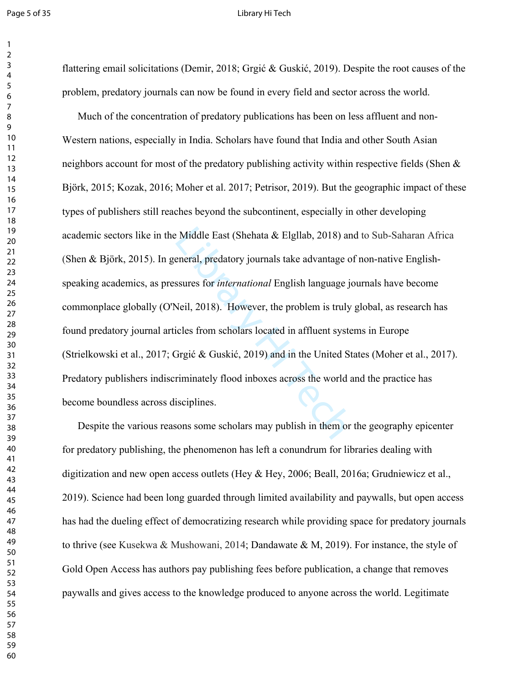## Page 5 of 35 Library Hi Tech

flattering email solicitations (Demir, 2018; Grgić & Guskić, 2019). Despite the root causes of the problem, predatory journals can now be found in every field and sector across the world.

Example East (Shehata & Elgllab, 2018) and<br>eneral, predatory journals take advantage of<br>ssures for *international* English language jc<br>Neil, 2018). However, the problem is truly<br>icles from scholars located in affluent sys Much of the concentration of predatory publications has been on less affluent and non-Western nations, especially in India. Scholars have found that India and other South Asian neighbors account for most of the predatory publishing activity within respective fields (Shen & Björk, 2015; Kozak, 2016; Moher et al. 2017; Petrisor, 2019). But the geographic impact of these types of publishers still reaches beyond the subcontinent, especially in other developing academic sectors like in the Middle East (Shehata & Elgllab, 2018) and to Sub-Saharan Africa (Shen & Björk, 2015). In general, predatory journals take advantage of non-native Englishspeaking academics, as pressures for *international* English language journals have become commonplace globally (O'Neil, 2018). However, the problem is truly global, as research has found predatory journal articles from scholars located in affluent systems in Europe (Strielkowski et al., 2017; Grgić & Guskić, 2019) and in the United States (Moher et al., 2017). Predatory publishers indiscriminately flood inboxes across the world and the practice has become boundless across disciplines.

Despite the various reasons some scholars may publish in them or the geography epicenter for predatory publishing, the phenomenon has left a conundrum for libraries dealing with digitization and new open access outlets (Hey & Hey, 2006; Beall, 2016a; Grudniewicz et al., 2019). Science had been long guarded through limited availability and paywalls, but open access has had the dueling effect of democratizing research while providing space for predatory journals to thrive (see Kusekwa & Mushowani, 2014; Dandawate & M, 2019). For instance, the style of Gold Open Access has authors pay publishing fees before publication, a change that removes paywalls and gives access to the knowledge produced to anyone across the world. Legitimate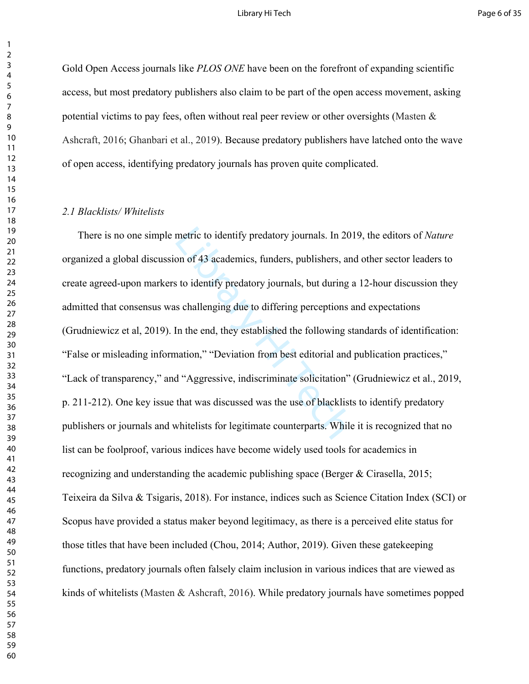# Library Hi Tech **Page 6 of 35**

Gold Open Access journals like *PLOS ONE* have been on the forefront of expanding scientific access, but most predatory publishers also claim to be part of the open access movement, asking potential victims to pay fees, often without real peer review or other oversights (Masten & Ashcraft, 2016; Ghanbari et al., 2019). Because predatory publishers have latched onto the wave of open access, identifying predatory journals has proven quite complicated.

## *2.1 Blacklists/ Whitelists*

metric to identify predatory journals. In 201<br>on of 43 academics, funders, publishers, and<br>s to identify predatory journals, but during a<br>s challenging due to differing perceptions a<br>In the end, they established the follow There is no one simple metric to identify predatory journals. In 2019, the editors of *Nature* organized a global discussion of 43 academics, funders, publishers, and other sector leaders to create agreed-upon markers to identify predatory journals, but during a 12-hour discussion they admitted that consensus was challenging due to differing perceptions and expectations (Grudniewicz et al, 2019). In the end, they established the following standards of identification: "False or misleading information," "Deviation from best editorial and publication practices," "Lack of transparency," and "Aggressive, indiscriminate solicitation" (Grudniewicz et al., 2019, p. 211-212). One key issue that was discussed was the use of blacklists to identify predatory publishers or journals and whitelists for legitimate counterparts. While it is recognized that no list can be foolproof, various indices have become widely used tools for academics in recognizing and understanding the academic publishing space (Berger & Cirasella, 2015; Teixeira da Silva & Tsigaris, 2018). For instance, indices such as Science Citation Index (SCI) or Scopus have provided a status maker beyond legitimacy, as there is a perceived elite status for those titles that have been included (Chou, 2014; Author, 2019). Given these gatekeeping functions, predatory journals often falsely claim inclusion in various indices that are viewed as kinds of whitelists (Masten & Ashcraft, 2016). While predatory journals have sometimes popped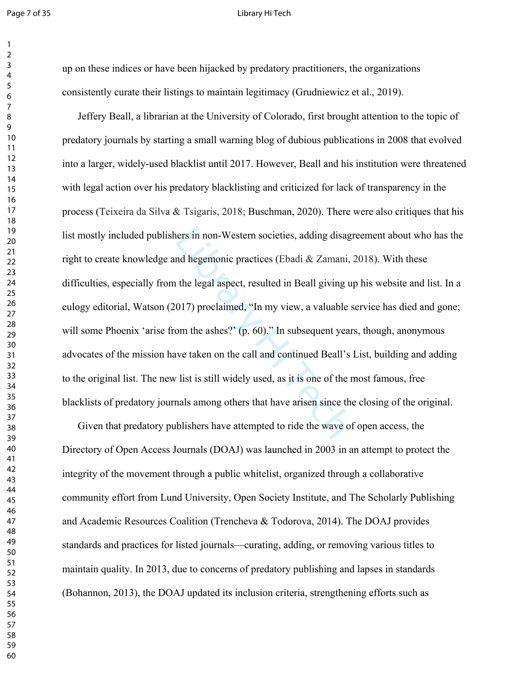## Page 7 of 35 Library Hi Tech

up on these indices or have been hijacked by predatory practitioners, the organizations consistently curate their listings to maintain legitimacy (Grudniewicz et al., 2019).

ners in non-Western societies, adding disagn<br>nd hegemonic practices (Ebadi & Zamani, 2<br>ithe legal aspect, resulted in Beall giving up<br>017) proclaimed, "In my view, a valuable s<br>om the ashes?" (p. 60)." In subsequent year<br>w Jeffery Beall, a librarian at the University of Colorado, first brought attention to the topic of predatory journals by starting a small warning blog of dubious publications in 2008 that evolved into a larger, widely-used blacklist until 2017. However, Beall and his institution were threatened with legal action over his predatory blacklisting and criticized for lack of transparency in the process (Teixeira da Silva & Tsigaris, 2018; Buschman, 2020). There were also critiques that his list mostly included publishers in non-Western societies, adding disagreement about who has the right to create knowledge and hegemonic practices (Ebadi & Zamani, 2018). With these difficulties, especially from the legal aspect, resulted in Beall giving up his website and list. In a eulogy editorial, Watson (2017) proclaimed, "In my view, a valuable service has died and gone; will some Phoenix 'arise from the ashes?' (p. 60)." In subsequent years, though, anonymous advocates of the mission have taken on the call and continued Beall's List, building and adding to the original list. The new list is still widely used, as it is one of the most famous, free blacklists of predatory journals among others that have arisen since the closing of the original.

Given that predatory publishers have attempted to ride the wave of open access, the Directory of Open Access Journals (DOAJ) was launched in 2003 in an attempt to protect the integrity of the movement through a public whitelist, organized through a collaborative community effort from Lund University, Open Society Institute, and The Scholarly Publishing and Academic Resources Coalition (Trencheva & Todorova, 2014). The DOAJ provides standards and practices for listed journals—curating, adding, or removing various titles to maintain quality. In 2013, due to concerns of predatory publishing and lapses in standards (Bohannon, 2013), the DOAJ updated its inclusion criteria, strengthening efforts such as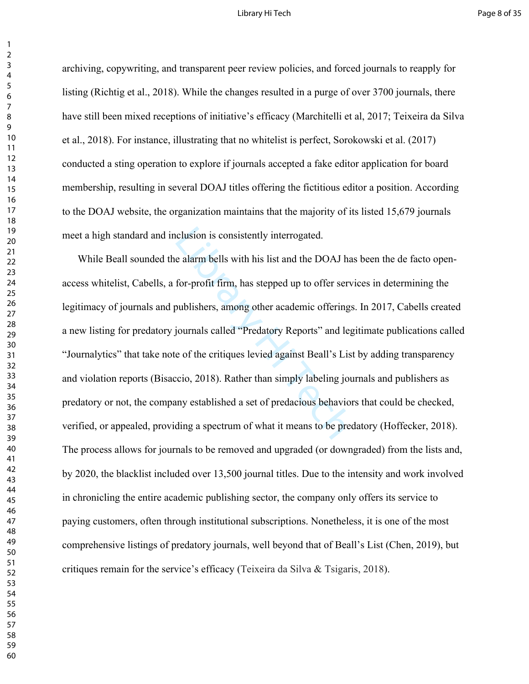# Library Hi Tech **Page 8 of 35**

archiving, copywriting, and transparent peer review policies, and forced journals to reapply for listing (Richtig et al., 2018). While the changes resulted in a purge of over 3700 journals, there have still been mixed receptions of initiative's efficacy (Marchitelli et al, 2017; Teixeira da Silva et al., 2018). For instance, illustrating that no whitelist is perfect, Sorokowski et al. (2017) conducted a sting operation to explore if journals accepted a fake editor application for board membership, resulting in several DOAJ titles offering the fictitious editor a position. According to the DOAJ website, the organization maintains that the majority of its listed 15,679 journals meet a high standard and inclusion is consistently interrogated.

clusion is consistently interrogated.<br>
e alarm bells with his list and the DOAJ has<br>
for-profit firm, has stepped up to offer serv<br>
publishers, among other academic offerings<br>
journals called "Predatory Reports" and leg<br>
e While Beall sounded the alarm bells with his list and the DOAJ has been the de facto openaccess whitelist, Cabells, a for-profit firm, has stepped up to offer services in determining the legitimacy of journals and publishers, among other academic offerings. In 2017, Cabells created a new listing for predatory journals called "Predatory Reports" and legitimate publications called "Journalytics" that take note of the critiques levied against Beall's List by adding transparency and violation reports (Bisaccio, 2018). Rather than simply labeling journals and publishers as predatory or not, the company established a set of predacious behaviors that could be checked, verified, or appealed, providing a spectrum of what it means to be predatory (Hoffecker, 2018). The process allows for journals to be removed and upgraded (or downgraded) from the lists and, by 2020, the blacklist included over 13,500 journal titles. Due to the intensity and work involved in chronicling the entire academic publishing sector, the company only offers its service to paying customers, often through institutional subscriptions. Nonetheless, it is one of the most comprehensive listings of predatory journals, well beyond that of Beall's List (Chen, 2019), but critiques remain for the service's efficacy (Teixeira da Silva & Tsigaris, 2018).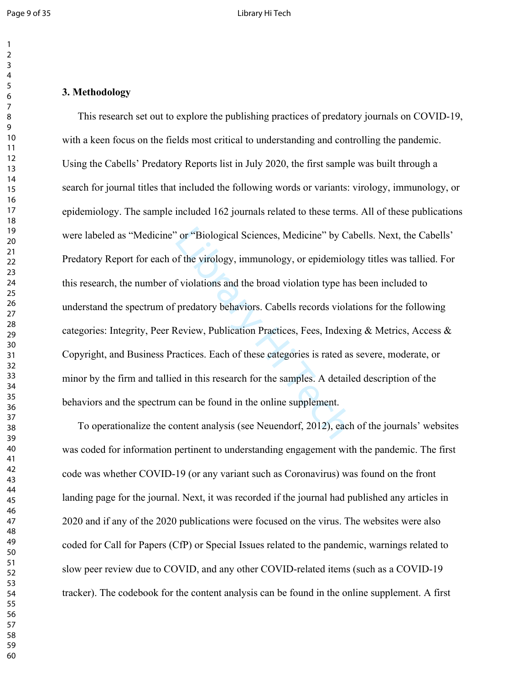# 

# **3. Methodology**

or "Biological Sciences, Medicine" by Cal<br>of the virology, immunology, or epidemiolo<br>f violations and the broad violation type has<br>predatory behaviors. Cabells records violat<br>Review, Publication Practices, Fees, Indexir<br>ac This research set out to explore the publishing practices of predatory journals on COVID-19, with a keen focus on the fields most critical to understanding and controlling the pandemic. Using the Cabells' Predatory Reports list in July 2020, the first sample was built through a search for journal titles that included the following words or variants: virology, immunology, or epidemiology. The sample included 162 journals related to these terms. All of these publications were labeled as "Medicine" or "Biological Sciences, Medicine" by Cabells. Next, the Cabells' Predatory Report for each of the virology, immunology, or epidemiology titles was tallied. For this research, the number of violations and the broad violation type has been included to understand the spectrum of predatory behaviors. Cabells records violations for the following categories: Integrity, Peer Review, Publication Practices, Fees, Indexing & Metrics, Access & Copyright, and Business Practices. Each of these categories is rated as severe, moderate, or minor by the firm and tallied in this research for the samples. A detailed description of the behaviors and the spectrum can be found in the online supplement.

To operationalize the content analysis (see Neuendorf, 2012), each of the journals' websites was coded for information pertinent to understanding engagement with the pandemic. The first code was whether COVID-19 (or any variant such as Coronavirus) was found on the front landing page for the journal. Next, it was recorded if the journal had published any articles in 2020 and if any of the 2020 publications were focused on the virus. The websites were also coded for Call for Papers (CfP) or Special Issues related to the pandemic, warnings related to slow peer review due to COVID, and any other COVID-related items (such as a COVID-19 tracker). The codebook for the content analysis can be found in the online supplement. A first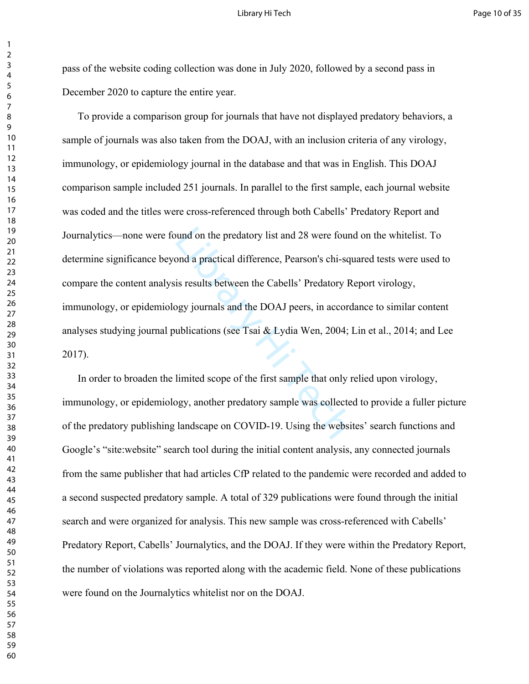pass of the website coding collection was done in July 2020, followed by a second pass in December 2020 to capture the entire year.

bound on the predatory list and 28 were found<br>
ond a practical difference, Pearson's chi-squ<br>
is results between the Cabells' Predatory R<br>
ogy journals and the DOAJ peers, in accord<br>
ublications (see Tsai & Lydia Wen, 2004 To provide a comparison group for journals that have not displayed predatory behaviors, a sample of journals was also taken from the DOAJ, with an inclusion criteria of any virology, immunology, or epidemiology journal in the database and that was in English. This DOAJ comparison sample included 251 journals. In parallel to the first sample, each journal website was coded and the titles were cross-referenced through both Cabells' Predatory Report and Journalytics—none were found on the predatory list and 28 were found on the whitelist. To determine significance beyond a practical difference, Pearson's chi-squared tests were used to compare the content analysis results between the Cabells' Predatory Report virology, immunology, or epidemiology journals and the DOAJ peers, in accordance to similar content analyses studying journal publications (see Tsai & Lydia Wen, 2004; Lin et al., 2014; and Lee 2017).

In order to broaden the limited scope of the first sample that only relied upon virology, immunology, or epidemiology, another predatory sample was collected to provide a fuller picture of the predatory publishing landscape on COVID-19. Using the websites' search functions and Google's "site:website" search tool during the initial content analysis, any connected journals from the same publisher that had articles CfP related to the pandemic were recorded and added to a second suspected predatory sample. A total of 329 publications were found through the initial search and were organized for analysis. This new sample was cross-referenced with Cabells' Predatory Report, Cabells' Journalytics, and the DOAJ. If they were within the Predatory Report, the number of violations was reported along with the academic field. None of these publications were found on the Journalytics whitelist nor on the DOAJ.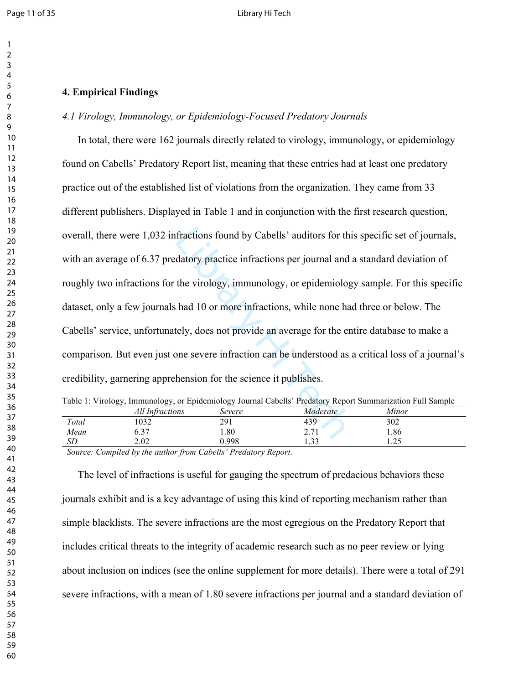# **4. Empirical Findings**

# *4.1 Virology, Immunology, or Epidemiology-Focused Predatory Journals*

fractions found by Cabells' auditors for this<br>datory practice infractions per journal and a<br>the virology, immunology, or epidemiolog<br>had 10 or more infractions, while none had<br>tely, does not provide an average for the en-In total, there were 162 journals directly related to virology, immunology, or epidemiology found on Cabells' Predatory Report list, meaning that these entries had at least one predatory practice out of the established list of violations from the organization. They came from 33 different publishers. Displayed in Table 1 and in conjunction with the first research question, overall, there were 1,032 infractions found by Cabells' auditors for this specific set of journals, with an average of 6.37 predatory practice infractions per journal and a standard deviation of roughly two infractions for the virology, immunology, or epidemiology sample. For this specific dataset, only a few journals had 10 or more infractions, while none had three or below. The Cabells' service, unfortunately, does not provide an average for the entire database to make a comparison. But even just one severe infraction can be understood as a critical loss of a journal's credibility, garnering apprehension for the science it publishes.

|                 |                               |          | Table 1: Virology, Immunology, or Epidemiology Journal Cabells' Predatory Report Summarization Full Sample |
|-----------------|-------------------------------|----------|------------------------------------------------------------------------------------------------------------|
| All Infractions | $S_{\alpha\nu\rho\sigma\rho}$ | Modovata | Minov                                                                                                      |

|        | All Infractions                                          | Severe                             | Moderate            | Minor                               |  |
|--------|----------------------------------------------------------|------------------------------------|---------------------|-------------------------------------|--|
| Total  | 1032                                                     | 291                                | 439                 | 302                                 |  |
| Mean   | ຳາ<br>0.S                                                | 08.1                               | 271<br>، ،          | 1.86                                |  |
| ىل     | 2.02                                                     | 998.                               | $\Omega$<br>. . J J | $\Delta$ $\epsilon$<br>. . <u>.</u> |  |
| $\sim$ | $\cdots$<br>$\sim$<br>$\sim$<br>$\overline{\phantom{a}}$ | $-1$ $-1$ $-1$ $-1$ $-1$<br>$\sim$ |                     |                                     |  |

*Source: Compiled by the author from Cabells' Predatory Report.*

The level of infractions is useful for gauging the spectrum of predacious behaviors these journals exhibit and is a key advantage of using this kind of reporting mechanism rather than simple blacklists. The severe infractions are the most egregious on the Predatory Report that includes critical threats to the integrity of academic research such as no peer review or lying about inclusion on indices (see the online supplement for more details). There were a total of 291 severe infractions, with a mean of 1.80 severe infractions per journal and a standard deviation of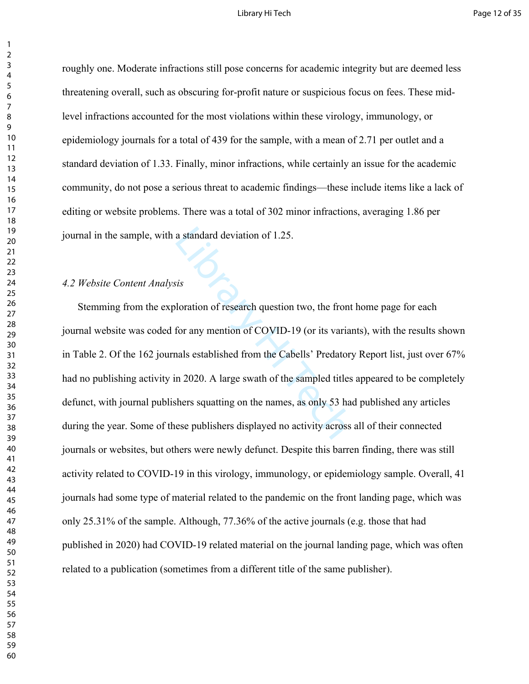# Library Hi Tech **Page 12 of 35**

roughly one. Moderate infractions still pose concerns for academic integrity but are deemed less threatening overall, such as obscuring for-profit nature or suspicious focus on fees. These midlevel infractions accounted for the most violations within these virology, immunology, or epidemiology journals for a total of 439 for the sample, with a mean of 2.71 per outlet and a standard deviation of 1.33. Finally, minor infractions, while certainly an issue for the academic community, do not pose a serious threat to academic findings—these include items like a lack of editing or website problems. There was a total of 302 minor infractions, averaging 1.86 per journal in the sample, with a standard deviation of 1.25.

# *4.2 Website Content Analysis*

a standard deviation of 1.25.<br>
is<br>
is<br>
loration of research question two, the front<br>
for any mention of COVID-19 (or its variar<br>
nals established from the Cabells' Predatory<br>
n 2020. A large swath of the sampled titles<br>
sh Stemming from the exploration of research question two, the front home page for each journal website was coded for any mention of COVID-19 (or its variants), with the results shown in Table 2. Of the 162 journals established from the Cabells' Predatory Report list, just over 67% had no publishing activity in 2020. A large swath of the sampled titles appeared to be completely defunct, with journal publishers squatting on the names, as only 53 had published any articles during the year. Some of these publishers displayed no activity across all of their connected journals or websites, but others were newly defunct. Despite this barren finding, there was still activity related to COVID-19 in this virology, immunology, or epidemiology sample. Overall, 41 journals had some type of material related to the pandemic on the front landing page, which was only 25.31% of the sample. Although, 77.36% of the active journals (e.g. those that had published in 2020) had COVID-19 related material on the journal landing page, which was often related to a publication (sometimes from a different title of the same publisher).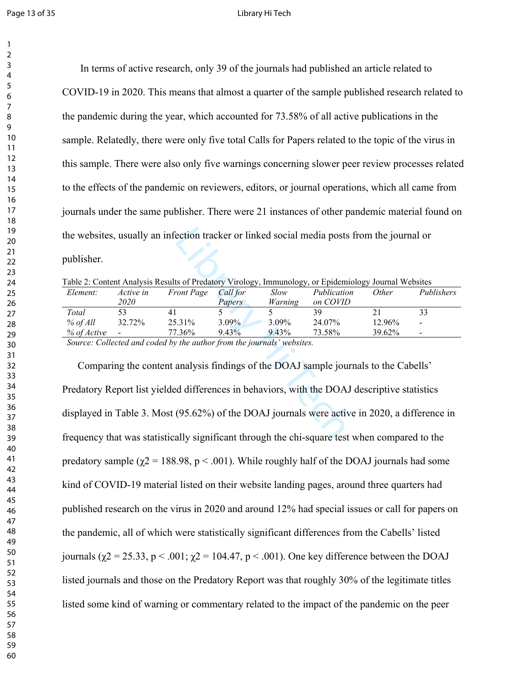#### Page 13 of 35 Library Hi Tech

 In terms of active research, only 39 of the journals had published an article related to COVID-19 in 2020. This means that almost a quarter of the sample published research related to the pandemic during the year, which accounted for 73.58% of all active publications in the sample. Relatedly, there were only five total Calls for Papers related to the topic of the virus in this sample. There were also only five warnings concerning slower peer review processes related to the effects of the pandemic on reviewers, editors, or journal operations, which all came from journals under the same publisher. There were 21 instances of other pandemic material found on the websites, usually an infection tracker or linked social media posts from the journal or publisher.

| Table 2: Content Analysis Results of Predatory Virology, Immunology, or Epidemiology Journal Websites |  |
|-------------------------------------------------------------------------------------------------------|--|
|-------------------------------------------------------------------------------------------------------|--|

| Element:    | Active in                | <b>Front Page</b>                                                                                                                                                                                                                                                                                                                                                                 | Call for      | Slow     | Publication | Other  | Publishers               |
|-------------|--------------------------|-----------------------------------------------------------------------------------------------------------------------------------------------------------------------------------------------------------------------------------------------------------------------------------------------------------------------------------------------------------------------------------|---------------|----------|-------------|--------|--------------------------|
|             | <i>2020</i>              |                                                                                                                                                                                                                                                                                                                                                                                   | <i>Papers</i> | Warning  | on COVID    |        |                          |
| Total       |                          | 41                                                                                                                                                                                                                                                                                                                                                                                |               |          | 39          |        | 33                       |
| $%$ of All  | 32.72%                   | 25.31%                                                                                                                                                                                                                                                                                                                                                                            | $3.09\%$      | $3.09\%$ | 24.07%      | 12.96% | $\overline{\phantom{a}}$ |
| % of Active | $\overline{\phantom{a}}$ | 77.36%                                                                                                                                                                                                                                                                                                                                                                            | $9.43\%$      | 9.43%    | 73.58%      | 39.62% | $\qquad \qquad$          |
|             |                          | $C_1, \ldots, C_n$ . $U_{n+1}, \ldots, U_{n+1}, \ldots, U_{n+1}, \ldots, U_{n+1}, \ldots, U_{n+1}, \ldots, U_{n+1}, \ldots, U_{n+1}, \ldots, U_{n+1}, \ldots, U_{n+1}, \ldots, U_{n+1}, \ldots, U_{n+1}, \ldots, U_{n+1}, \ldots, U_{n+1}, \ldots, U_{n+1}, \ldots, U_{n+1}, \ldots, U_{n+1}, \ldots, U_{n+1}, \ldots, U_{n+1}, \ldots, U_{n+1}, \ldots, U_{n+1}, \ldots, U_{n+1$ |               |          |             |        |                          |

*Source: Collected and coded by the author from the journals' websites.*

ection tracker or linked social media posts 1<br>
ts of Predatory Virology, Immunology, or Epidemio<br> *Coul For Slow Publication<br>
Papers Warning on COVID*<br>
5 5 39<br>
3.09% 3.09% 3.09% 24.07%<br>
73.58% 9.43% 9.43% 73.58%<br> *2.107%*<br> Comparing the content analysis findings of the DOAJ sample journals to the Cabells' Predatory Report list yielded differences in behaviors, with the DOAJ descriptive statistics displayed in Table 3. Most (95.62%) of the DOAJ journals were active in 2020, a difference in frequency that was statistically significant through the chi-square test when compared to the predatory sample ( $\gamma$ 2 = 188.98, p < .001). While roughly half of the DOAJ journals had some kind of COVID-19 material listed on their website landing pages, around three quarters had published research on the virus in 2020 and around 12% had special issues or call for papers on the pandemic, all of which were statistically significant differences from the Cabells' listed journals (χ2 = 25.33, p < .001; χ2 = 104.47, p < .001). One key difference between the DOAJ listed journals and those on the Predatory Report was that roughly 30% of the legitimate titles listed some kind of warning or commentary related to the impact of the pandemic on the peer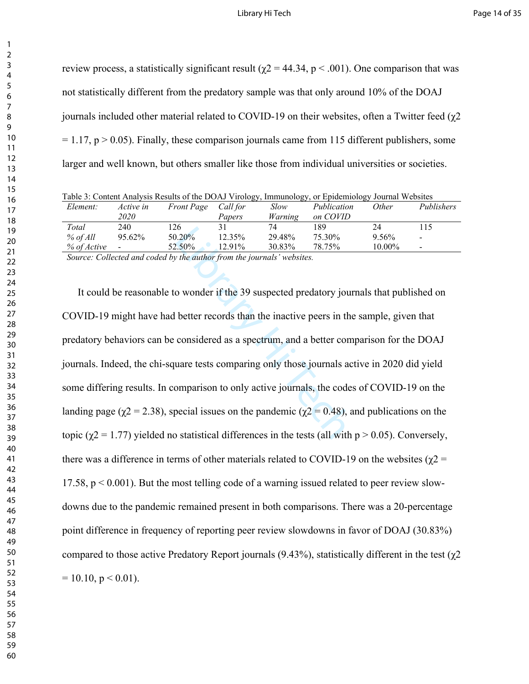review process, a statistically significant result ( $χ$ 2 = 44.34,  $p$  < .001). One comparison that was not statistically different from the predatory sample was that only around 10% of the DOAJ journals included other material related to COVID-19 on their websites, often a Twitter feed (χ2  $= 1.17$ , p  $> 0.05$ ). Finally, these comparison journals came from 115 different publishers, some larger and well known, but others smaller like those from individual universities or societies.

|             |                 |                   |          |             | Table 3: Content Analysis Results of the DOAJ Virology, Immunology, or Epidemiology Journal Websites |           |                          |
|-------------|-----------------|-------------------|----------|-------------|------------------------------------------------------------------------------------------------------|-----------|--------------------------|
| Element:    | Active in       | <b>Front Page</b> | Call for | <i>Slow</i> | Publication                                                                                          | Other     | Publishers               |
|             | 2020            |                   | Papers   | Warning     | on COVID                                                                                             |           |                          |
| Total       | 240.            | 126               | 31       | 74          | 189                                                                                                  | 24        | 115                      |
| $%$ of All  | $95.62\%$       | 50.20%            | 12.35%   | 29.48%      | 75.30%                                                                                               | 9.56%     | $\overline{\phantom{a}}$ |
| % of Active | $\qquad \qquad$ | 52.50%            | 12.91%   | 30.83%      | 78.75%                                                                                               | $10.00\%$ | $\overline{\phantom{a}}$ |

*Source: Collected and coded by the author from the journals' websites.*

 $\frac{12.35\%}{12.35\%}$  29.48% 75.30%<br>  $\frac{12.35\%}{12.91\%}$  30.83% 78.75%<br> *Library Hie author from the journals' websites.*<br>  $\frac{12.91\%}{12.91\%}$  as uspected predatory jour<br>
better records than the inactive peers in the<br> It could be reasonable to wonder if the 39 suspected predatory journals that published on COVID-19 might have had better records than the inactive peers in the sample, given that predatory behaviors can be considered as a spectrum, and a better comparison for the DOAJ journals. Indeed, the chi-square tests comparing only those journals active in 2020 did yield some differing results. In comparison to only active journals, the codes of COVID-19 on the landing page ( $\gamma$ 2 = 2.38), special issues on the pandemic ( $\gamma$ 2 = 0.48), and publications on the topic ( $\gamma$ 2 = 1.77) yielded no statistical differences in the tests (all with p > 0.05). Conversely, there was a difference in terms of other materials related to COVID-19 on the websites ( $\gamma$ 2 = 17.58,  $p < 0.001$ ). But the most telling code of a warning issued related to peer review slowdowns due to the pandemic remained present in both comparisons. There was a 20-percentage point difference in frequency of reporting peer review slowdowns in favor of DOAJ (30.83%) compared to those active Predatory Report journals (9.43%), statistically different in the test ( $χ2$  $= 10.10$ ,  $p < 0.01$ ).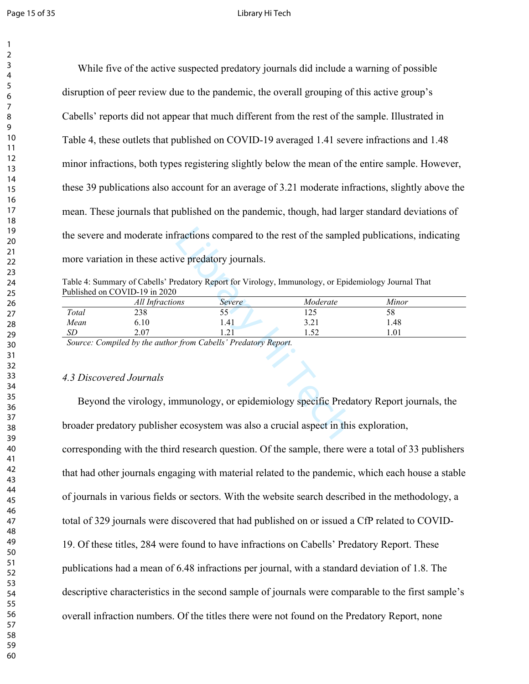#### Page 15 of 35 **Page 15** of 35

While five of the active suspected predatory journals did include a warning of possible disruption of peer review due to the pandemic, the overall grouping of this active group's Cabells' reports did not appear that much different from the rest of the sample. Illustrated in Table 4, these outlets that published on COVID-19 averaged 1.41 severe infractions and 1.48 minor infractions, both types registering slightly below the mean of the entire sample. However, these 39 publications also account for an average of 3.21 moderate infractions, slightly above the mean. These journals that published on the pandemic, though, had larger standard deviations of the severe and moderate infractions compared to the rest of the sampled publications, indicating more variation in these active predatory journals.

Table 4: Summary of Cabells' Predatory Report for Virology, Immunology, or Epidemiology Journal That Published on COVID-19 in 2020

| the severe and moderate infractions compared to the rest of the sampled publications, indicating |                                                                                      |                 |                                                                                                      |       |  |  |
|--------------------------------------------------------------------------------------------------|--------------------------------------------------------------------------------------|-----------------|------------------------------------------------------------------------------------------------------|-------|--|--|
|                                                                                                  | more variation in these active predatory journals.                                   |                 |                                                                                                      |       |  |  |
|                                                                                                  |                                                                                      |                 | Table 4: Summary of Cabells' Predatory Report for Virology, Immunology, or Epidemiology Journal That |       |  |  |
|                                                                                                  | Published on COVID-19 in 2020                                                        |                 |                                                                                                      |       |  |  |
|                                                                                                  | All Infractions                                                                      | Severe          | Moderate                                                                                             | Minor |  |  |
| Total                                                                                            | 238                                                                                  | 55 <sup>′</sup> | 125                                                                                                  | 58    |  |  |
| Mean                                                                                             | 6.10                                                                                 | 1.41            | 3.21                                                                                                 | 1.48  |  |  |
| SD                                                                                               | 2.07                                                                                 | 1.21            | 1.52                                                                                                 | 1.01  |  |  |
|                                                                                                  | Source: Compiled by the author from Cabells' Predatory Report.                       |                 |                                                                                                      |       |  |  |
|                                                                                                  |                                                                                      |                 |                                                                                                      |       |  |  |
|                                                                                                  |                                                                                      |                 |                                                                                                      |       |  |  |
| 4.3 Discovered Journals                                                                          |                                                                                      |                 |                                                                                                      |       |  |  |
| Beyond the virology, immunology, or epidemiology specific Predatory Report journals, the         |                                                                                      |                 |                                                                                                      |       |  |  |
|                                                                                                  | broader predatory publisher ecosystem was also a crucial aspect in this exploration, |                 |                                                                                                      |       |  |  |

# *4.3 Discovered Journals*

corresponding with the third research question. Of the sample, there were a total of 33 publishers that had other journals engaging with material related to the pandemic, which each house a stable of journals in various fields or sectors. With the website search described in the methodology, a total of 329 journals were discovered that had published on or issued a CfP related to COVID-19. Of these titles, 284 were found to have infractions on Cabells' Predatory Report. These publications had a mean of 6.48 infractions per journal, with a standard deviation of 1.8. The descriptive characteristics in the second sample of journals were comparable to the first sample's overall infraction numbers. Of the titles there were not found on the Predatory Report, none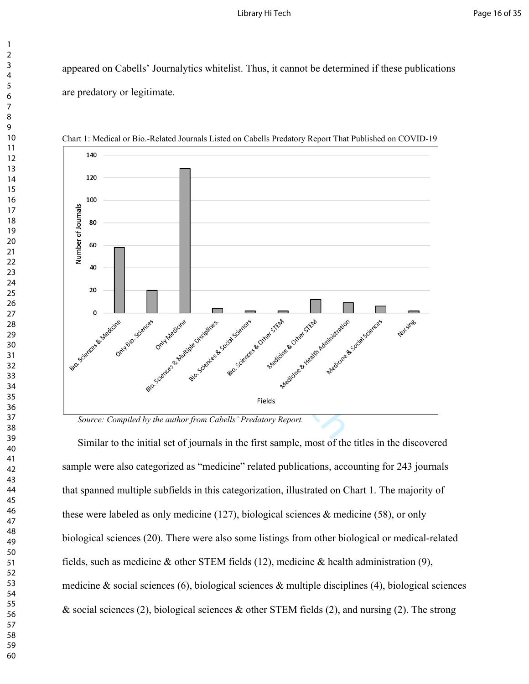appeared on Cabells' Journalytics whitelist. Thus, it cannot be determined if these publications are predatory or legitimate.



Chart 1: Medical or Bio.-Related Journals Listed on Cabells Predatory Report That Published on COVID-19

*Source: Compiled by the author from Cabells' Predatory Report.*

Similar to the initial set of journals in the first sample, most of the titles in the discovered sample were also categorized as "medicine" related publications, accounting for 243 journals that spanned multiple subfields in this categorization, illustrated on Chart 1. The majority of these were labeled as only medicine (127), biological sciences  $\&$  medicine (58), or only biological sciences (20). There were also some listings from other biological or medical-related fields, such as medicine  $\&$  other STEM fields (12), medicine  $\&$  health administration (9), medicine  $\&$  social sciences (6), biological sciences  $\&$  multiple disciplines (4), biological sciences  $\&$  social sciences (2), biological sciences  $\&$  other STEM fields (2), and nursing (2). The strong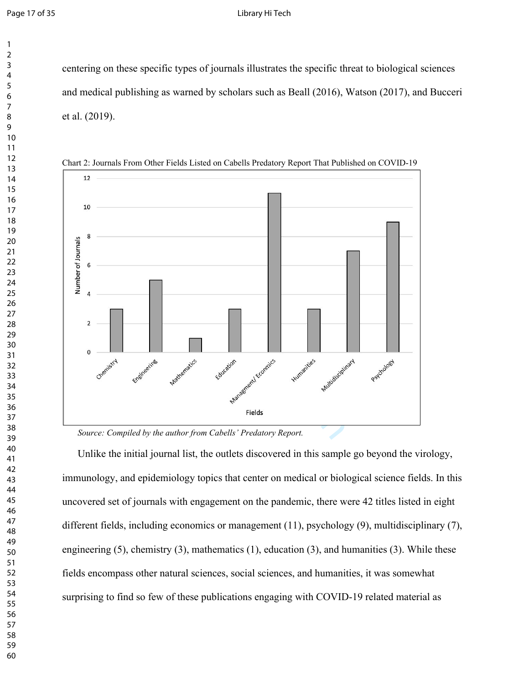centering on these specific types of journals illustrates the specific threat to biological sciences and medical publishing as warned by scholars such as Beall (2016), Watson (2017), and Bucceri et al. (2019).



Chart 2: Journals From Other Fields Listed on Cabells Predatory Report That Published on COVID-19

*Source: Compiled by the author from Cabells' Predatory Report.*

Unlike the initial journal list, the outlets discovered in this sample go beyond the virology, immunology, and epidemiology topics that center on medical or biological science fields. In this uncovered set of journals with engagement on the pandemic, there were 42 titles listed in eight different fields, including economics or management (11), psychology (9), multidisciplinary (7), engineering (5), chemistry (3), mathematics (1), education (3), and humanities (3). While these fields encompass other natural sciences, social sciences, and humanities, it was somewhat surprising to find so few of these publications engaging with COVID-19 related material as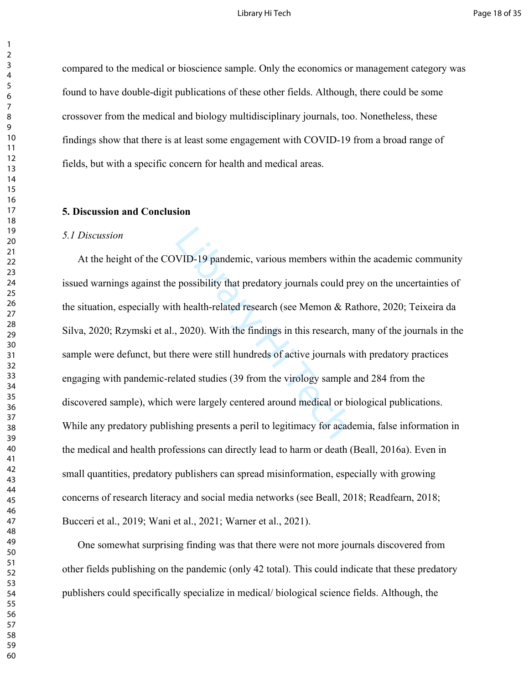# Library Hi Tech **Page 18 of 35**

compared to the medical or bioscience sample. Only the economics or management category was found to have double-digit publications of these other fields. Although, there could be some crossover from the medical and biology multidisciplinary journals, too. Nonetheless, these findings show that there is at least some engagement with COVID-19 from a broad range of fields, but with a specific concern for health and medical areas.

# **5. Discussion and Conclusion**

#### *5.1 Discussion*

VID-19 pandemic, various members within<br>possibility that predatory journals could pr<br>h health-related research (see Memon & Ra<br>, 2020). With the findings in this research, r<br>nere were still hundreds of active journals w<br>la At the height of the COVID-19 pandemic, various members within the academic community issued warnings against the possibility that predatory journals could prey on the uncertainties of the situation, especially with health-related research (see Memon & Rathore, 2020; Teixeira da Silva, 2020; Rzymski et al., 2020). With the findings in this research, many of the journals in the sample were defunct, but there were still hundreds of active journals with predatory practices engaging with pandemic-related studies (39 from the virology sample and 284 from the discovered sample), which were largely centered around medical or biological publications. While any predatory publishing presents a peril to legitimacy for academia, false information in the medical and health professions can directly lead to harm or death (Beall, 2016a). Even in small quantities, predatory publishers can spread misinformation, especially with growing concerns of research literacy and social media networks (see Beall, 2018; Readfearn, 2018; Bucceri et al., 2019; Wani et al., 2021; Warner et al., 2021).

One somewhat surprising finding was that there were not more journals discovered from other fields publishing on the pandemic (only 42 total). This could indicate that these predatory publishers could specifically specialize in medical/ biological science fields. Although, the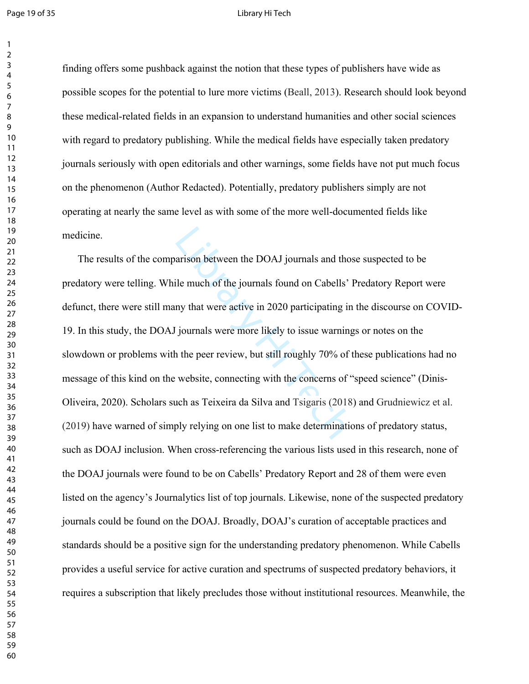#### Page 19 of 35 Library Hi Tech

finding offers some pushback against the notion that these types of publishers have wide as possible scopes for the potential to lure more victims (Beall, 2013). Research should look beyond these medical-related fields in an expansion to understand humanities and other social sciences with regard to predatory publishing. While the medical fields have especially taken predatory journals seriously with open editorials and other warnings, some fields have not put much focus on the phenomenon (Author Redacted). Potentially, predatory publishers simply are not operating at nearly the same level as with some of the more well-documented fields like medicine.

arison between the DOAJ journals and thos<br>ile much of the journals found on Cabells' I<br>ny that were active in 2020 participating in<br>journals were more likely to issue warning<br>in the peer review, but still roughly 70% of t<br> The results of the comparison between the DOAJ journals and those suspected to be predatory were telling. While much of the journals found on Cabells' Predatory Report were defunct, there were still many that were active in 2020 participating in the discourse on COVID-19. In this study, the DOAJ journals were more likely to issue warnings or notes on the slowdown or problems with the peer review, but still roughly 70% of these publications had no message of this kind on the website, connecting with the concerns of "speed science" (Dinis-Oliveira, 2020). Scholars such as Teixeira da Silva and Tsigaris (2018) and Grudniewicz et al. (2019) have warned of simply relying on one list to make determinations of predatory status, such as DOAJ inclusion. When cross-referencing the various lists used in this research, none of the DOAJ journals were found to be on Cabells' Predatory Report and 28 of them were even listed on the agency's Journalytics list of top journals. Likewise, none of the suspected predatory journals could be found on the DOAJ. Broadly, DOAJ's curation of acceptable practices and standards should be a positive sign for the understanding predatory phenomenon. While Cabells provides a useful service for active curation and spectrums of suspected predatory behaviors, it requires a subscription that likely precludes those without institutional resources. Meanwhile, the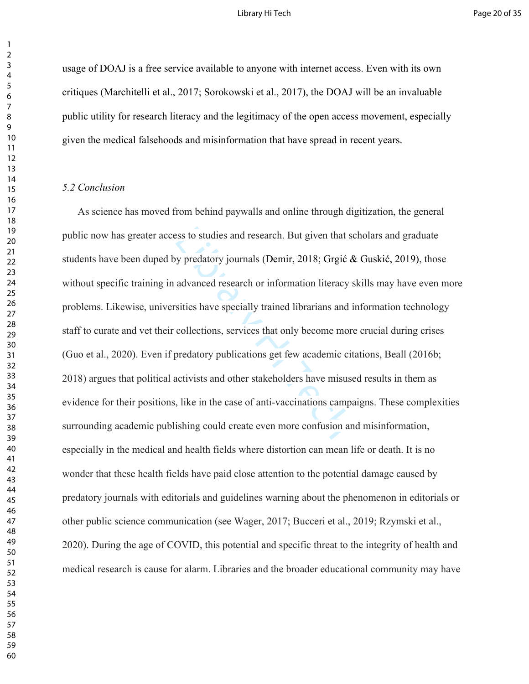usage of DOAJ is a free service available to anyone with internet access. Even with its own critiques (Marchitelli et al., 2017; Sorokowski et al., 2017), the DOAJ will be an invaluable public utility for research literacy and the legitimacy of the open access movement, especially given the medical falsehoods and misinformation that have spread in recent years.

# *5.2 Conclusion*

between that sess to studies and research. But given that set and research or information literacy s advanced research or information literacy s sities have specially trained librarians and i collections, services that onl As science has moved from behind paywalls and online through digitization, the general public now has greater access to studies and research. But given that scholars and graduate students have been duped by predatory journals (Demir, 2018; Grgić & Guskić, 2019), those without specific training in advanced research or information literacy skills may have even more problems. Likewise, universities have specially trained librarians and information technology staff to curate and vet their collections, services that only become more crucial during crises (Guo et al., 2020). Even if predatory publications get few academic citations, Beall (2016b; 2018) argues that political activists and other stakeholders have misused results in them as evidence for their positions, like in the case of anti-vaccinations campaigns. These complexities surrounding academic publishing could create even more confusion and misinformation, especially in the medical and health fields where distortion can mean life or death. It is no wonder that these health fields have paid close attention to the potential damage caused by predatory journals with editorials and guidelines warning about the phenomenon in editorials or other public science communication (see Wager, 2017; Bucceri et al., 2019; Rzymski et al., 2020). During the age of COVID, this potential and specific threat to the integrity of health and medical research is cause for alarm. Libraries and the broader educational community may have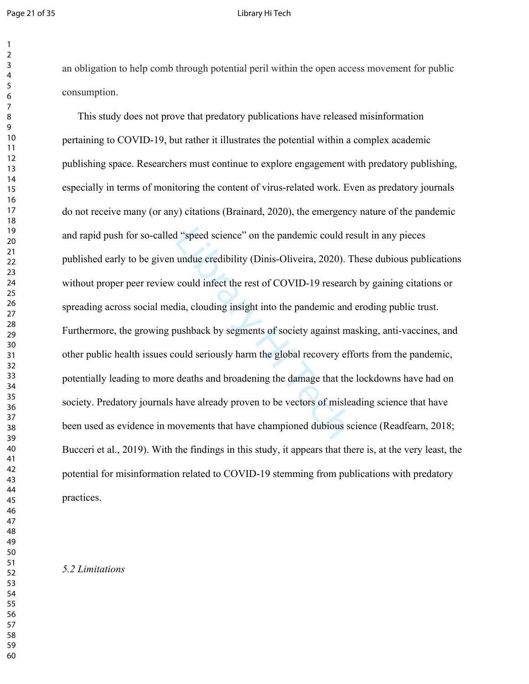#### Page 21 of 35 **Discriming the Contract of Contract Contract Contract Contract Contract Contract Contract Contract Contract Contract Contract Contract Contract Contract Contract Contract Contract Contract Contract Contract**

an obligation to help comb through potential peril within the open access movement for public consumption.

I "speed science" on the pandemic could re<br>undue credibility (Dinis-Oliveira, 2020). T<br>could infect the rest of COVID-19 research<br>dia, clouding insight into the pandemic and<br>ushback by segments of society against ma<br>ould s This study does not prove that predatory publications have released misinformation pertaining to COVID-19, but rather it illustrates the potential within a complex academic publishing space. Researchers must continue to explore engagement with predatory publishing, especially in terms of monitoring the content of virus-related work. Even as predatory journals do not receive many (or any) citations (Brainard, 2020), the emergency nature of the pandemic and rapid push for so-called "speed science" on the pandemic could result in any pieces published early to be given undue credibility (Dinis-Oliveira, 2020). These dubious publications without proper peer review could infect the rest of COVID-19 research by gaining citations or spreading across social media, clouding insight into the pandemic and eroding public trust. Furthermore, the growing pushback by segments of society against masking, anti-vaccines, and other public health issues could seriously harm the global recovery efforts from the pandemic, potentially leading to more deaths and broadening the damage that the lockdowns have had on society. Predatory journals have already proven to be vectors of misleading science that have been used as evidence in movements that have championed dubious science (Readfearn, 2018; Bucceri et al., 2019). With the findings in this study, it appears that there is, at the very least, the potential for misinformation related to COVID-19 stemming from publications with predatory practices.

# *5.2 Limitations*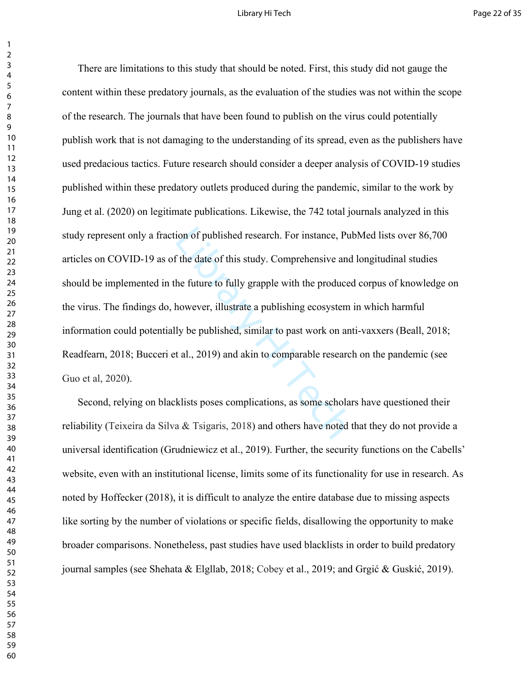## Library Hi Tech **Page 22 of 35**

ion of published research. For instance, Published research. For instance, Published f the date of this study. Comprehensive and the future to fully grapple with the produced thowever, illustrate a publishing ecosystem is There are limitations to this study that should be noted. First, this study did not gauge the content within these predatory journals, as the evaluation of the studies was not within the scope of the research. The journals that have been found to publish on the virus could potentially publish work that is not damaging to the understanding of its spread, even as the publishers have used predacious tactics. Future research should consider a deeper analysis of COVID-19 studies published within these predatory outlets produced during the pandemic, similar to the work by Jung et al. (2020) on legitimate publications. Likewise, the 742 total journals analyzed in this study represent only a fraction of published research. For instance, PubMed lists over 86,700 articles on COVID-19 as of the date of this study. Comprehensive and longitudinal studies should be implemented in the future to fully grapple with the produced corpus of knowledge on the virus. The findings do, however, illustrate a publishing ecosystem in which harmful information could potentially be published, similar to past work on anti-vaxxers (Beall, 2018; Readfearn, 2018; Bucceri et al., 2019) and akin to comparable research on the pandemic (see Guo et al, 2020).

Second, relying on blacklists poses complications, as some scholars have questioned their reliability (Teixeira da Silva & Tsigaris, 2018) and others have noted that they do not provide a universal identification (Grudniewicz et al., 2019). Further, the security functions on the Cabells' website, even with an institutional license, limits some of its functionality for use in research. As noted by Hoffecker (2018), it is difficult to analyze the entire database due to missing aspects like sorting by the number of violations or specific fields, disallowing the opportunity to make broader comparisons. Nonetheless, past studies have used blacklists in order to build predatory journal samples (see Shehata & Elgllab, 2018; Cobey et al., 2019; and Grgić & Guskić, 2019).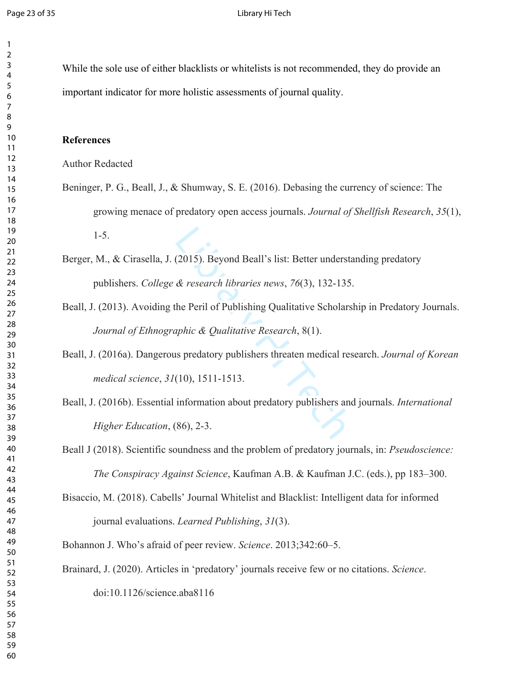While the sole use of either blacklists or whitelists is not recommended, they do provide an important indicator for more holistic assessments of journal quality.

# **References**

Author Redacted

- Beninger, P. G., Beall, J., & Shumway, S. E. (2016). Debasing the currency of science: The growing menace of predatory open access journals. *Journal of Shellfish Research*, *35*(1), 1-5.
- Berger, M., & Cirasella, J. (2015). Beyond Beall's list: Better understanding predatory publishers. *College & research libraries news*, *76*(3), 132-135.
- Beall, J. (2013). Avoiding the Peril of Publishing Qualitative Scholarship in Predatory Journals. *Journal of Ethnographic & Qualitative Research*, 8(1).
- Beall, J. (2016a). Dangerous predatory publishers threaten medical research. *Journal of Korean medical science*, *31*(10), 1511-1513.
- (2015). Beyond Beall's list: Better understa<br>  $\&$  research libraries news, 76(3), 132-135.<br>
the Peril of Publishing Qualitative Scholars<br>
uphic  $\&$  Qualitative Research, 8(1).<br>
s predatory publishers threaten medical re Beall, J. (2016b). Essential information about predatory publishers and journals. *International Higher Education*, (86), 2-3.

Beall J (2018). Scientific soundness and the problem of predatory journals, in: *Pseudoscience: The Conspiracy Against Science*, Kaufman A.B. & Kaufman J.C. (eds.), pp 183–300.

Bisaccio, M. (2018). Cabells' Journal Whitelist and Blacklist: Intelligent data for informed journal evaluations. *Learned Publishing*, *31*(3).

Bohannon J. Who's afraid of peer review. *Science*. 2013;342:60–5.

Brainard, J. (2020). Articles in 'predatory' journals receive few or no citations. *Science*.

doi:10.1126/science.aba8116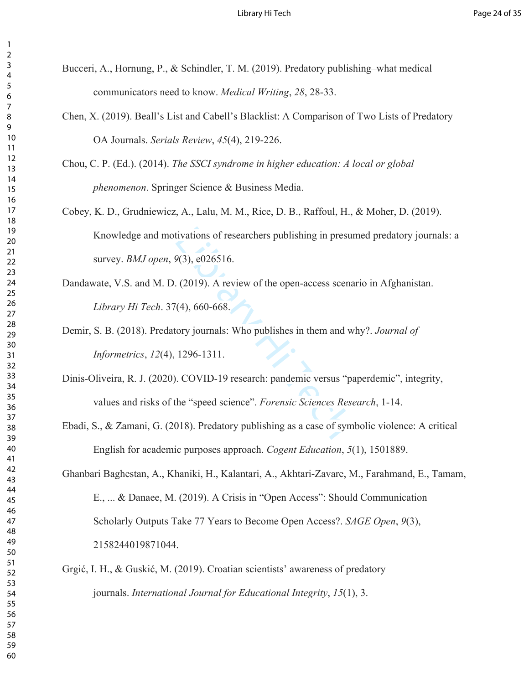- Bucceri, A., Hornung, P., & Schindler, T. M. (2019). Predatory publishing–what medical communicators need to know. *Medical Writing*, *28*, 28-33.
	- Chen, X. (2019). Beall's List and Cabell's Blacklist: A Comparison of Two Lists of Predatory OA Journals. *Serials Review*, *45*(4), 219-226.

Chou, C. P. (Ed.). (2014). *The SSCI syndrome in higher education: A local or global phenomenon*. Springer Science & Business Media.

- tivations of researchers publishing in presure<br>  $9(3)$ , e026516.<br>
(2019). A review of the open-access scena<br>
(4), 660-668.<br>
(3) corrections in them and w<br>
1296-1311.<br>
(COVID-19 research: pandemic versus "pather" (2)<br>
the Cobey, K. D., Grudniewicz, A., Lalu, M. M., Rice, D. B., Raffoul, H., & Moher, D. (2019). Knowledge and motivations of researchers publishing in presumed predatory journals: a survey. *BMJ open*, *9*(3), e026516.
- Dandawate, V.S. and M. D. (2019). A review of the open-access scenario in Afghanistan. *Library Hi Tech*. 37(4), 660-668.
- Demir, S. B. (2018). Predatory journals: Who publishes in them and why?. *Journal of Informetrics*, *12*(4), 1296-1311.
- Dinis-Oliveira, R. J. (2020). COVID-19 research: pandemic versus "paperdemic", integrity, values and risks of the "speed science". *Forensic Sciences Research*, 1-14.
- Ebadi, S., & Zamani, G. (2018). Predatory publishing as a case of symbolic violence: A critical English for academic purposes approach. *Cogent Education*, *5*(1), 1501889.

Ghanbari Baghestan, A., Khaniki, H., Kalantari, A., Akhtari-Zavare, M., Farahmand, E., Tamam, E., ... & Danaee, M. (2019). A Crisis in "Open Access": Should Communication Scholarly Outputs Take 77 Years to Become Open Access?. *SAGE Open*, *9*(3), 2158244019871044.

Grgić, I. H., & Guskić, M. (2019). Croatian scientists' awareness of predatory journals. *International Journal for Educational Integrity*, *15*(1), 3.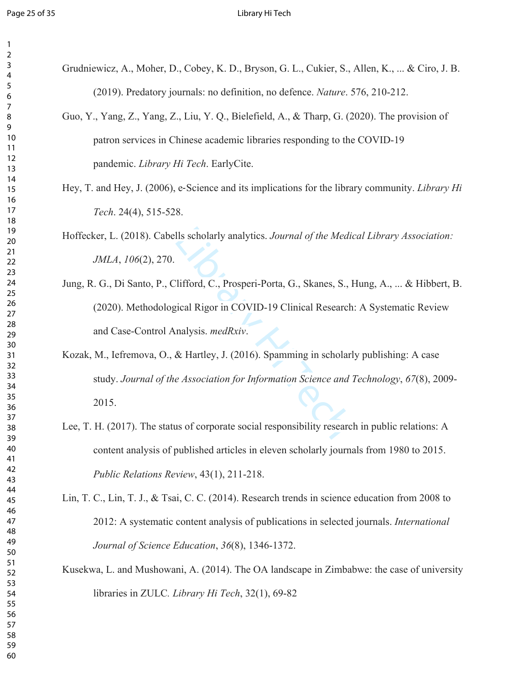| 2                            |  |
|------------------------------|--|
| 3                            |  |
| 4                            |  |
|                              |  |
| 5                            |  |
| 6                            |  |
|                              |  |
| 8                            |  |
| 9                            |  |
|                              |  |
| 10                           |  |
| 1<br>$\mathbf{1}$            |  |
| 1<br>$\overline{c}$          |  |
| 3<br>1                       |  |
| 1<br>4                       |  |
|                              |  |
| 15                           |  |
| 16                           |  |
| 1                            |  |
| 18                           |  |
| 19                           |  |
|                              |  |
| 20                           |  |
| $\overline{21}$              |  |
| Ź.<br>$\overline{2}$         |  |
| 23                           |  |
| $\frac{24}{3}$               |  |
|                              |  |
| 25                           |  |
| 26                           |  |
| 27                           |  |
| 28                           |  |
| 29                           |  |
|                              |  |
| 30                           |  |
| $\overline{31}$              |  |
| ś.<br>$\overline{2}$         |  |
| $\overline{\mathbf{3}}$<br>3 |  |
| 34                           |  |
|                              |  |
| 35                           |  |
| 36                           |  |
| 37                           |  |
| 38                           |  |
| $\overline{\mathbf{3}}$<br>€ |  |
|                              |  |
| 40                           |  |
| 41                           |  |
| 42                           |  |
| 43                           |  |
| 44                           |  |
| 45                           |  |
|                              |  |
| 46                           |  |
| 47                           |  |
| 48                           |  |
| 49                           |  |
| 50                           |  |
|                              |  |
| 51                           |  |
| 52                           |  |
| 53                           |  |
| 54                           |  |
| 55                           |  |
|                              |  |
| 56                           |  |
| 57                           |  |
| 58                           |  |
| 59                           |  |
|                              |  |
| 60                           |  |

| Grudniewicz, A., Moher, D., Cobey, K. D., Bryson, G. L., Cukier, S., Allen, K.,  & Ciro, J. B. |  |
|------------------------------------------------------------------------------------------------|--|
| (2019). Predatory journals: no definition, no defence. <i>Nature</i> . 576, 210-212.           |  |

- Guo, Y., Yang, Z., Yang, Z., Liu, Y. Q., Bielefield, A., & Tharp, G. (2020). The provision of patron services in Chinese academic libraries responding to the COVID-19 pandemic. *Library Hi Tech*. EarlyCite.
- Hey, T. and Hey, J. (2006), e‐Science and its implications for the library community. *Library Hi Tech*. 24(4), 515-528.
- Hoffecker, L. (2018). Cabells scholarly analytics. *Journal of the Medical Library Association: JMLA*, *106*(2), 270.
- Jung, R. G., Di Santo, P., Clifford, C., Prosperi-Porta, G., Skanes, S., Hung, A., ... & Hibbert, B. (2020). Methodological Rigor in COVID-19 Clinical Research: A Systematic Review and Case-Control Analysis. *medRxiv*.
- Ils scholarly analytics. Journal of the Medic<br>
2. The Medicine Medicine Correlation Cover Section 19<br>
2. The Section Cover Section 19<br>
2. Hartley, J. (2016). Spamming in scholarly<br>
2. Hartley, J. (2016). Spamming in schola Kozak, M., Iefremova, O., & Hartley, J. (2016). Spamming in scholarly publishing: A case study. *Journal of the Association for Information Science and Technology*, *67*(8), 2009- 2015.
- Lee, T. H. (2017). The status of corporate social responsibility research in public relations: A content analysis of published articles in eleven scholarly journals from 1980 to 2015. *Public Relations Review*, 43(1), 211-218.
- Lin, T. C., Lin, T. J., & Tsai, C. C. (2014). Research trends in science education from 2008 to 2012: A systematic content analysis of publications in selected journals. *International Journal of Science Education*, *36*(8), 1346-1372.
- Kusekwa, L. and Mushowani, A. (2014). The OA landscape in Zimbabwe: the case of university libraries in ZULC*. Library Hi Tech*, 32(1), 69-82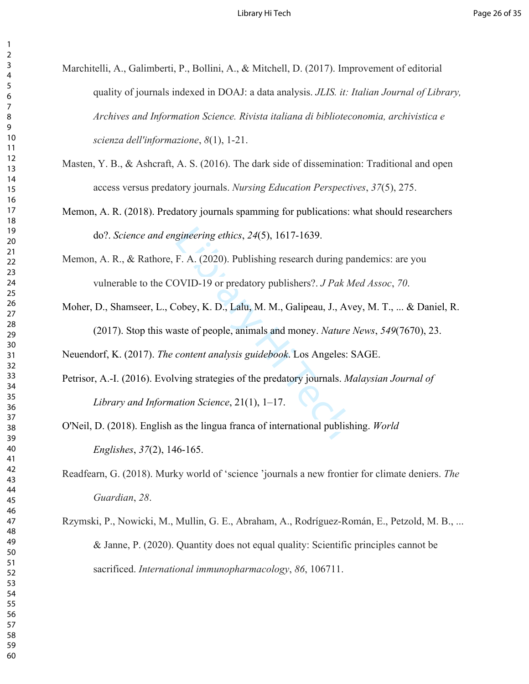- Marchitelli, A., Galimberti, P., Bollini, A., & Mitchell, D. (2017). Improvement of editorial quality of journals indexed in DOAJ: a data analysis. *JLIS. it: Italian Journal of Library, Archives and Information Science. Rivista italiana di biblioteconomia, archivistica e scienza dell'informazione*, *8*(1), 1-21.
- Masten, Y. B., & Ashcraft, A. S. (2016). The dark side of dissemination: Traditional and open access versus predatory journals. *Nursing Education Perspectives*, *37*(5), 275.
- Memon, A. R. (2018). Predatory journals spamming for publications: what should researchers do?. *Science and engineering ethics*, *24*(5), 1617-1639.
- Memon, A. R., & Rathore, F. A. (2020). Publishing research during pandemics: are you vulnerable to the COVID-19 or predatory publishers?. *J Pak Med Assoc*, *70*.
- Moher, D., Shamseer, L., Cobey, K. D., Lalu, M. M., Galipeau, J., Avey, M. T., ... & Daniel, R. (2017). Stop this waste of people, animals and money. *Nature News*, *549*(7670), 23.

Neuendorf, K. (2017). *The content analysis guidebook*. Los Angeles: SAGE.

- gineering ethics, 24(5), 1617-1639.<br>F. A. (2020). Publishing research during pa<br>DVID-19 or predatory publishers?. *J Pak M*<br>Cobey, K. D., Lalu, M. M., Galipeau, J., Ave<br>stee of people, animals and money. *Nature i*<br>content Petrisor, A.-I. (2016). Evolving strategies of the predatory journals. *Malaysian Journal of Library and Information Science*, 21(1), 1–17.
- O'Neil, D. (2018). English as the lingua franca of international publishing. *World Englishes*, *37*(2), 146-165.
- Readfearn, G. (2018). Murky world of 'science 'journals a new frontier for climate deniers. *The Guardian*, *28*.
- Rzymski, P., Nowicki, M., Mullin, G. E., Abraham, A., Rodríguez-Román, E., Petzold, M. B., ... & Janne, P. (2020). Quantity does not equal quality: Scientific principles cannot be sacrificed. *International immunopharmacology*, *86*, 106711.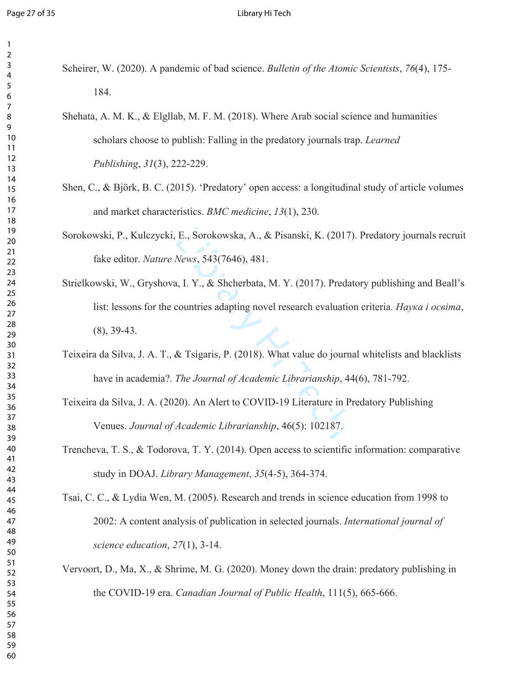#### Page 27 of 35 **Library Hi Tech**

- Scheirer, W. (2020). A pandemic of bad science. *Bulletin of the Atomic Scientists*, *76*(4), 175- 184.
- Shehata, A. M. K., & Elgllab, M. F. M. (2018). Where Arab social science and humanities scholars choose to publish: Falling in the predatory journals trap. *Learned Publishing*, *31*(3), 222-229.
- Shen, C., & Björk, B. C. (2015). 'Predatory' open access: a longitudinal study of article volumes and market characteristics. *BMC medicine*, *13*(1), 230.
- Sorokowski, P., Kulczycki, E., Sorokowska, A., & Pisanski, K. (2017). Predatory journals recruit fake editor. *Nature News*, 543(7646), 481.
- E., Sorokowska, A., & Pisanski, K. (2017)<br>
News, 543(7646), 481.<br>
1, I. Y., & Shcherbata, M. Y. (2017). Predat<br>
countries adapting novel research evaluation<br>
& Tsigaris, P. (2018). What value do journa<br>
The Journal of Acad Strielkowski, W., Gryshova, I. Y., & Shcherbata, M. Y. (2017). Predatory publishing and Beall's list: lessons for the countries adapting novel research evaluation criteria. *Наука і освіта*, (8), 39-43.
- Teixeira da Silva, J. A. T., & Tsigaris, P. (2018). What value do journal whitelists and blacklists have in academia?. *The Journal of Academic Librarianship*, 44(6), 781-792.
- Teixeira da Silva, J. A. (2020). An Alert to COVID-19 Literature in Predatory Publishing Venues. *Journal of Academic Librarianship*, 46(5): 102187.
- Trencheva, T. S., & Todorova, T. Y. (2014). Open access to scientific information: comparative study in DOAJ. *Library Management*, *35*(4-5), 364-374.
- Tsai, C. C., & Lydia Wen, M. (2005). Research and trends in science education from 1998 to 2002: A content analysis of publication in selected journals. *International journal of science education*, *27*(1), 3-14.
- Vervoort, D., Ma, X., & Shrime, M. G. (2020). Money down the drain: predatory publishing in the COVID-19 era. *Canadian Journal of Public Health*, 111(5), 665-666.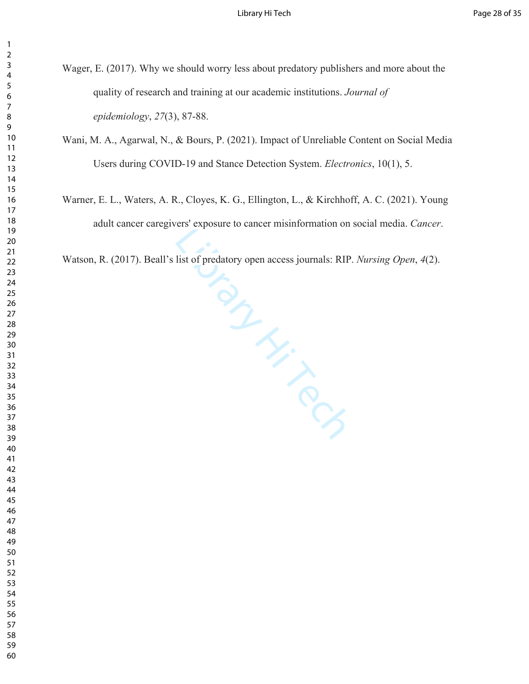- Wager, E. (2017). Why we should worry less about predatory publishers and more about the quality of research and training at our academic institutions. *Journal of epidemiology*, *27*(3), 87-88.
- Wani, M. A., Agarwal, N., & Bours, P. (2021). Impact of Unreliable Content on Social Media Users during COVID-19 and Stance Detection System. *Electronics*, 10(1), 5.
- Warner, E. L., Waters, A. R., Cloyes, K. G., Ellington, L., & Kirchhoff, A. C. (2021). Young adult cancer caregivers' exposure to cancer misinformation on social media. *Cancer*.

Watson, R. (2017). Beall's list of predatory open access journals: RIP. *Nursing Open*, *4*(2).

Library Hi Tech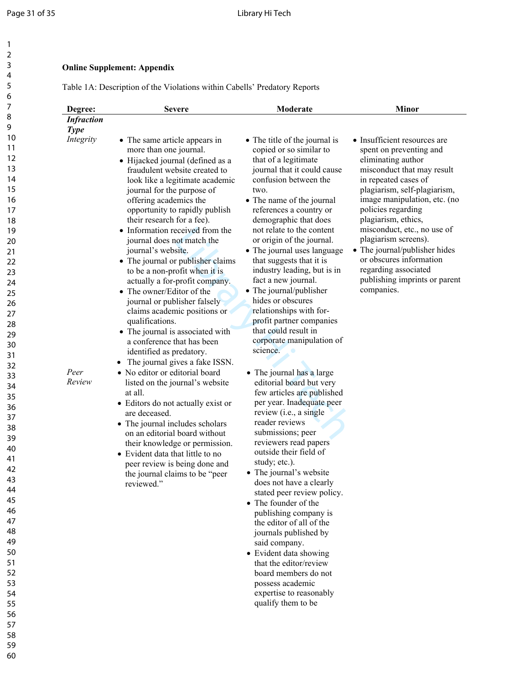# **Online Supplement: Appendix**

Table 1A: Description of the Violations within Cabells' Predatory Reports

| Degree:                          | <b>Severe</b>                                                                                                                                                                                                                                                                                                                                                                                                                                                                                                                                                                                                                                                                                                                                                                                                                                                                                                                                                                                                                                                                                            | Moderate                                                                                                                                                                                                                                                                                                                                                                                                                                                                                                                                                                                                                                                                                                                                                                                                                                                                                                                                                                                                                                                                                                                                                                                                  | <b>Minor</b>                                                                                                                                                                                                                                                                                                                                                                                                                               |
|----------------------------------|----------------------------------------------------------------------------------------------------------------------------------------------------------------------------------------------------------------------------------------------------------------------------------------------------------------------------------------------------------------------------------------------------------------------------------------------------------------------------------------------------------------------------------------------------------------------------------------------------------------------------------------------------------------------------------------------------------------------------------------------------------------------------------------------------------------------------------------------------------------------------------------------------------------------------------------------------------------------------------------------------------------------------------------------------------------------------------------------------------|-----------------------------------------------------------------------------------------------------------------------------------------------------------------------------------------------------------------------------------------------------------------------------------------------------------------------------------------------------------------------------------------------------------------------------------------------------------------------------------------------------------------------------------------------------------------------------------------------------------------------------------------------------------------------------------------------------------------------------------------------------------------------------------------------------------------------------------------------------------------------------------------------------------------------------------------------------------------------------------------------------------------------------------------------------------------------------------------------------------------------------------------------------------------------------------------------------------|--------------------------------------------------------------------------------------------------------------------------------------------------------------------------------------------------------------------------------------------------------------------------------------------------------------------------------------------------------------------------------------------------------------------------------------------|
| <b>Infraction</b><br><b>Type</b> |                                                                                                                                                                                                                                                                                                                                                                                                                                                                                                                                                                                                                                                                                                                                                                                                                                                                                                                                                                                                                                                                                                          |                                                                                                                                                                                                                                                                                                                                                                                                                                                                                                                                                                                                                                                                                                                                                                                                                                                                                                                                                                                                                                                                                                                                                                                                           |                                                                                                                                                                                                                                                                                                                                                                                                                                            |
| Integrity<br>Peer<br>Review      | • The same article appears in<br>more than one journal.<br>• Hijacked journal (defined as a<br>fraudulent website created to<br>look like a legitimate academic<br>journal for the purpose of<br>offering academics the<br>opportunity to rapidly publish<br>their research for a fee).<br>• Information received from the<br>journal does not match the<br>journal's website.<br>• The journal or publisher claims<br>to be a non-profit when it is<br>actually a for-profit company.<br>• The owner/Editor of the<br>journal or publisher falsely<br>claims academic positions or<br>qualifications.<br>• The journal is associated with<br>a conference that has been<br>identified as predatory.<br>The journal gives a fake ISSN.<br>• No editor or editorial board<br>listed on the journal's website<br>at all.<br>• Editors do not actually exist or<br>are deceased.<br>• The journal includes scholars<br>on an editorial board without<br>their knowledge or permission.<br>• Evident data that little to no<br>peer review is being done and<br>the journal claims to be "peer<br>reviewed." | • The title of the journal is<br>copied or so similar to<br>that of a legitimate<br>journal that it could cause<br>confusion between the<br>two.<br>• The name of the journal<br>references a country or<br>demographic that does<br>not relate to the content<br>or origin of the journal.<br>• The journal uses language<br>that suggests that it is<br>industry leading, but is in<br>fact a new journal.<br>• The journal/publisher<br>hides or obscures<br>relationships with for-<br>profit partner companies<br>that could result in<br>corporate manipulation of<br>science.<br>• The journal has a large<br>editorial board but very<br>few articles are published<br>per year. Inadequate peer<br>review (i.e., a single<br>reader reviews<br>submissions; peer<br>reviewers read papers<br>outside their field of<br>study; etc.).<br>• The journal's website<br>does not have a clearly<br>stated peer review policy.<br>• The founder of the<br>publishing company is<br>the editor of all of the<br>journals published by<br>said company.<br>• Evident data showing<br>that the editor/review<br>board members do not<br>possess academic<br>expertise to reasonably<br>qualify them to be | • Insufficient resources are<br>spent on preventing and<br>eliminating author<br>misconduct that may result<br>in repeated cases of<br>plagiarism, self-plagiarism,<br>image manipulation, etc. (no<br>policies regarding<br>plagiarism, ethics,<br>misconduct, etc., no use of<br>plagiarism screens).<br>• The journal/publisher hides<br>or obscures information<br>regarding associated<br>publishing imprints or parent<br>companies. |

58 59 60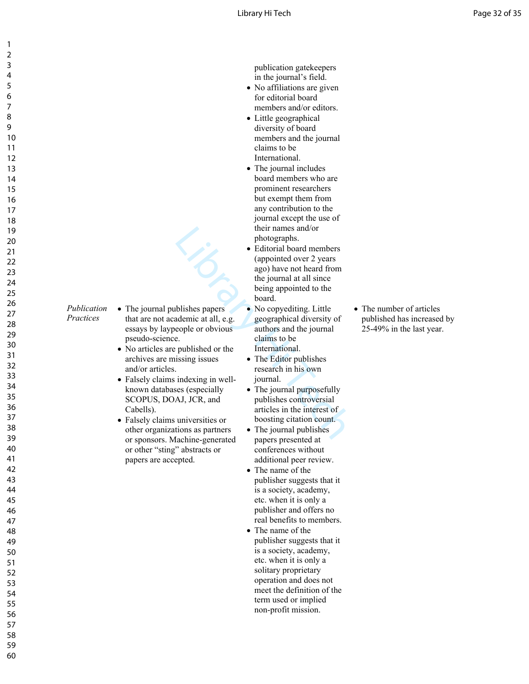publication gatekeepers in the journal's field.

- No affiliations are given for editorial board members and/or editors.
- Little geographical diversity of board members and the journal claims to be International.
- The journal includes board members who are prominent researchers but exempt them from any contribution to the journal except the use of their names and/or photographs.
- their names and/or<br>
photographs.<br>
 Editorial board members<br>
(appointed over 2 years<br>
ago) have not heard from<br>
the journal at all since<br>
being appointed to the<br>
board.<br>
blishes papers<br>
 No copyediting. Little<br>
ademic at • Editorial board members (appointed over 2 years ago) have not heard from the journal at all since being appointed to the board.
	- No copyediting. Little geographical diversity of authors and the journal claims to be International.
	- The Editor publishes research in his own journal.
	- The journal purposefully publishes controversial articles in the interest of boosting citation count.
	- The journal publishes papers presented at conferences without additional peer review.
	- The name of the publisher suggests that it is a society, academy, etc. when it is only a publisher and offers no real benefits to members.
	- The name of the publisher suggests that it is a society, academy, etc. when it is only a solitary proprietary operation and does not meet the definition of the term used or implied non-profit mission.

• The number of articles published has increased by 25-49% in the last year.

- *Publication Practices* • The journal publishes papers that are not academic at all, e.g. essays by laypeople or obvious pseudo-science.
	- No articles are published or the archives are missing issues and/or articles.
	- Falsely claims indexing in wellknown databases (especially SCOPUS, DOAJ, JCR, and Cabells).
	- Falsely claims universities or other organizations as partners or sponsors. Machine-generated or other "sting" abstracts or papers are accepted.
- 1 2 3 4 5 6 7 8 9 10 11 12 13 14 15 16 17 18 19 20 21 22 23 24 25 26 27 28 29 30 31 32 33 34 35 36 37 38 39 40 41 42 43 44 45 46 47 48 49 50 51 52 53 54 55 56 57 58
- 59
- 60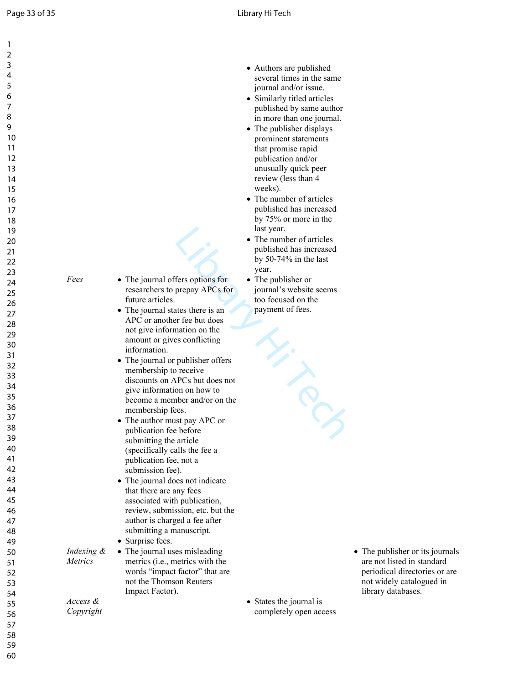| 1              |                |                                   |                             |                                 |
|----------------|----------------|-----------------------------------|-----------------------------|---------------------------------|
| $\overline{2}$ |                |                                   |                             |                                 |
| 3              |                |                                   |                             |                                 |
| 4              |                |                                   | • Authors are published     |                                 |
|                |                |                                   | several times in the same   |                                 |
| 5              |                |                                   | journal and/or issue.       |                                 |
| 6              |                |                                   | • Similarly titled articles |                                 |
| 7              |                |                                   | published by same author    |                                 |
| 8              |                |                                   | in more than one journal.   |                                 |
| 9              |                |                                   | • The publisher displays    |                                 |
| 10             |                |                                   | prominent statements        |                                 |
| 11             |                |                                   | that promise rapid          |                                 |
| 12             |                |                                   | publication and/or          |                                 |
| 13             |                |                                   | unusually quick peer        |                                 |
|                |                |                                   |                             |                                 |
| 14             |                |                                   | review (less than 4         |                                 |
| 15             |                |                                   | weeks).                     |                                 |
| 16             |                |                                   | • The number of articles    |                                 |
| 17             |                |                                   | published has increased     |                                 |
| 18             |                |                                   | by 75% or more in the       |                                 |
| 19             |                |                                   | last year.                  |                                 |
| 20             |                |                                   | • The number of articles    |                                 |
| 21             |                |                                   | published has increased     |                                 |
|                |                |                                   | by $50-74\%$ in the last    |                                 |
| 22             |                |                                   | year.                       |                                 |
| 23             | Fees           | • The journal offers options for  | • The publisher or          |                                 |
| 24             |                | researchers to prepay APCs for    | journal's website seems     |                                 |
| 25             |                | future articles.                  | too focused on the          |                                 |
| 26             |                |                                   |                             |                                 |
| 27             |                | • The journal states there is an  | payment of fees.            |                                 |
| 28             |                | APC or another fee but does       |                             |                                 |
| 29             |                | not give information on the       |                             |                                 |
| 30             |                | amount or gives conflicting       |                             |                                 |
|                |                | information.                      |                             |                                 |
| 31             |                | • The journal or publisher offers |                             |                                 |
| 32             |                | membership to receive             |                             |                                 |
| 33             |                | discounts on APCs but does not    |                             |                                 |
| 34             |                | give information on how to        |                             |                                 |
| 35             |                | become a member and/or on the     |                             |                                 |
| 36             |                | membership fees.                  |                             |                                 |
| 37             |                | • The author must pay APC or      |                             |                                 |
| 38             |                | publication fee before            |                             |                                 |
| 39             |                |                                   |                             |                                 |
| 40             |                | submitting the article            |                             |                                 |
|                |                | (specifically calls the fee a     |                             |                                 |
| 41             |                | publication fee, not a            |                             |                                 |
| 42             |                | submission fee).                  |                             |                                 |
| 43             |                | • The journal does not indicate   |                             |                                 |
| 44             |                | that there are any fees           |                             |                                 |
| 45             |                | associated with publication,      |                             |                                 |
| 46             |                | review, submission, etc. but the  |                             |                                 |
| 47             |                | author is charged a fee after     |                             |                                 |
| 48             |                | submitting a manuscript.          |                             |                                 |
|                |                | • Surprise fees.                  |                             |                                 |
| 49             |                |                                   |                             |                                 |
| 50             | Indexing &     | • The journal uses misleading     |                             | • The publisher or its journals |
| 51             | <i>Metrics</i> | metrics (i.e., metrics with the   |                             | are not listed in standard      |
| 52             |                | words "impact factor" that are    |                             | periodical directories or are   |
| 53             |                | not the Thomson Reuters           |                             | not widely catalogued in        |
| 54             |                | Impact Factor).                   |                             | library databases.              |
| 55             | Access &       |                                   | • States the journal is     |                                 |
| 56             | Copyright      |                                   | completely open access      |                                 |
| 57             |                |                                   |                             |                                 |
|                |                |                                   |                             |                                 |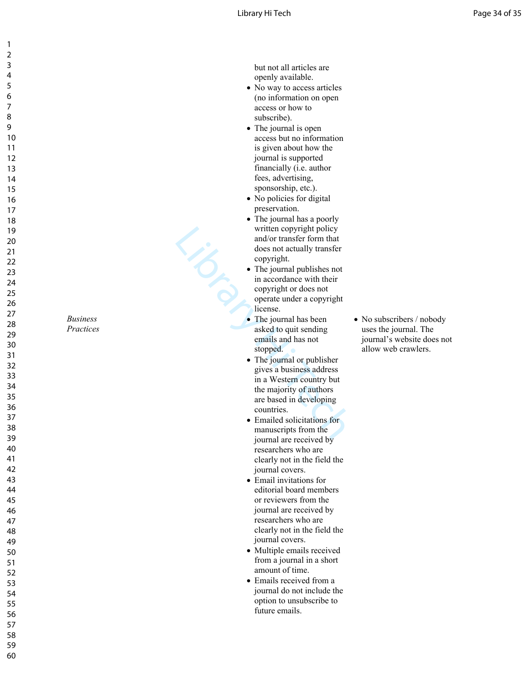but not all articles are openly available.

- No way to access articles (no information on open access or how to subscribe).
- The journal is open access but no information is given about how the journal is supported financially (i.e. author fees, advertising, sponsorship, etc.).
- No policies for digital preservation.
- The journal has a poorly written copyright policy and/or transfer form that does not actually transfer copyright.

Library 1

- The journal publishes not in accordance with their copyright or does not operate under a copyright license.
- The journal has been asked to quit sending emails and has not stopped.
- The journal or publisher gives a business address in a Western country but the majority of authors are based in developing countries.
- Emailed solicitations for manuscripts from the journal are received by researchers who are clearly not in the field the journal covers.
- Email invitations for editorial board members or reviewers from the journal are received by researchers who are clearly not in the field the journal covers.
- Multiple emails received from a journal in a short amount of time.
- Emails received from a journal do not include the option to unsubscribe to future emails.

• No subscribers / nobody uses the journal. The journal's website does not allow web crawlers.

123456789

> *Business Practices*

58 59 60